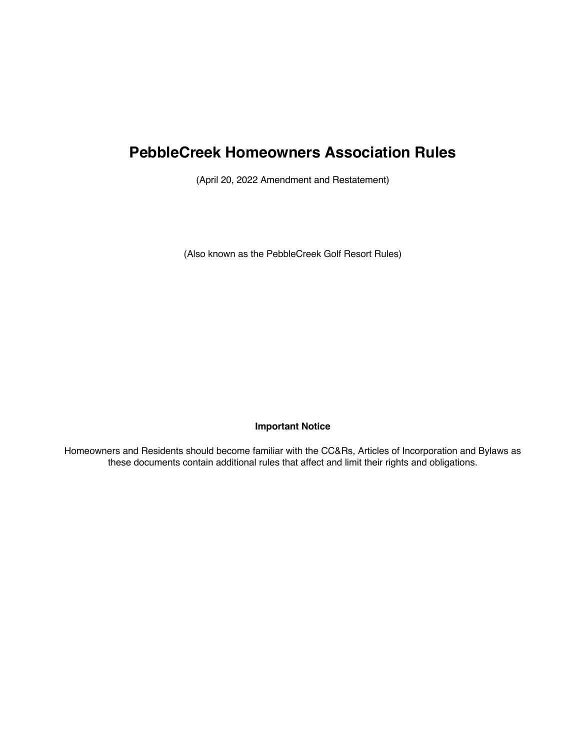# **PebbleCreek Homeowners Association Rules**

(April 20, 2022 Amendment and Restatement)

(Also known as the PebbleCreek Golf Resort Rules)

# **Important Notice**

Homeowners and Residents should become familiar with the CC&Rs, Articles of Incorporation and Bylaws as these documents contain additional rules that affect and limit their rights and obligations.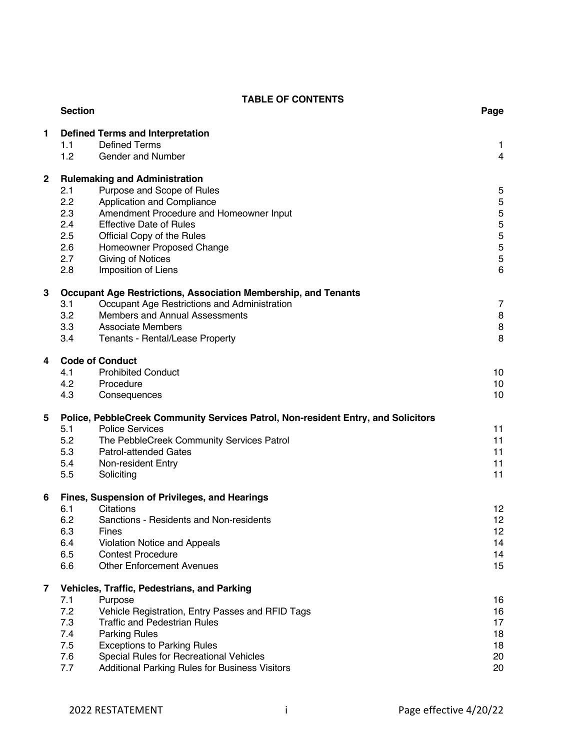# **TABLE OF CONTENTS**

|             | <b>Section</b>                                                                    |                                                                               | Page     |  |
|-------------|-----------------------------------------------------------------------------------|-------------------------------------------------------------------------------|----------|--|
| 1           | <b>Defined Terms and Interpretation</b>                                           |                                                                               |          |  |
|             | 1.1                                                                               | <b>Defined Terms</b>                                                          | 1        |  |
|             | 1.2                                                                               | Gender and Number                                                             | 4        |  |
| $\mathbf 2$ | <b>Rulemaking and Administration</b>                                              |                                                                               |          |  |
|             | 2.1                                                                               | Purpose and Scope of Rules                                                    | 5        |  |
|             | 2.2                                                                               | Application and Compliance                                                    | 5        |  |
|             | 2.3                                                                               | Amendment Procedure and Homeowner Input                                       | 5        |  |
|             | 2.4                                                                               | <b>Effective Date of Rules</b>                                                | 5        |  |
|             | 2.5                                                                               | Official Copy of the Rules                                                    | 5        |  |
|             | 2.6                                                                               | Homeowner Proposed Change                                                     | 5        |  |
|             | 2.7                                                                               | <b>Giving of Notices</b>                                                      | 5        |  |
|             | 2.8                                                                               | Imposition of Liens                                                           | 6        |  |
| 3           |                                                                                   | Occupant Age Restrictions, Association Membership, and Tenants                |          |  |
|             | 3.1                                                                               | Occupant Age Restrictions and Administration                                  | 7        |  |
|             | 3.2                                                                               | Members and Annual Assessments                                                | 8        |  |
|             | 3.3                                                                               | <b>Associate Members</b>                                                      | 8        |  |
|             | 3.4                                                                               | Tenants - Rental/Lease Property                                               | 8        |  |
| 4           |                                                                                   | <b>Code of Conduct</b>                                                        |          |  |
|             | 4.1                                                                               | <b>Prohibited Conduct</b>                                                     | 10       |  |
|             | 4.2                                                                               | Procedure                                                                     | 10       |  |
|             | 4.3                                                                               | Consequences                                                                  | 10       |  |
| 5           | Police, PebbleCreek Community Services Patrol, Non-resident Entry, and Solicitors |                                                                               |          |  |
|             | 5.1                                                                               | <b>Police Services</b>                                                        | 11       |  |
|             | 5.2                                                                               | The PebbleCreek Community Services Patrol                                     | 11       |  |
|             | 5.3                                                                               | <b>Patrol-attended Gates</b>                                                  | 11       |  |
|             | 5.4                                                                               | Non-resident Entry                                                            | 11       |  |
|             | 5.5                                                                               | Soliciting                                                                    | 11       |  |
| 6           |                                                                                   | Fines, Suspension of Privileges, and Hearings                                 |          |  |
|             | 6.1                                                                               | Citations                                                                     | 12       |  |
|             | 6.2                                                                               | Sanctions - Residents and Non-residents                                       | 12       |  |
|             | 6.3                                                                               | Fines                                                                         | 12       |  |
|             | 6.4<br>6.5                                                                        | Violation Notice and Appeals<br><b>Contest Procedure</b>                      | 14       |  |
|             | 6.6                                                                               | <b>Other Enforcement Avenues</b>                                              | 14<br>15 |  |
|             |                                                                                   |                                                                               |          |  |
| 7           | Vehicles, Traffic, Pedestrians, and Parking                                       |                                                                               |          |  |
|             | 7.1                                                                               | Purpose                                                                       | 16       |  |
|             | 7.2                                                                               | Vehicle Registration, Entry Passes and RFID Tags                              | 16       |  |
|             | 7.3                                                                               | <b>Traffic and Pedestrian Rules</b>                                           | 17       |  |
|             | 7.4<br>7.5                                                                        | <b>Parking Rules</b>                                                          | 18       |  |
|             | 7.6                                                                               | <b>Exceptions to Parking Rules</b><br>Special Rules for Recreational Vehicles | 18<br>20 |  |
|             | 7.7                                                                               | Additional Parking Rules for Business Visitors                                | 20       |  |
|             |                                                                                   |                                                                               |          |  |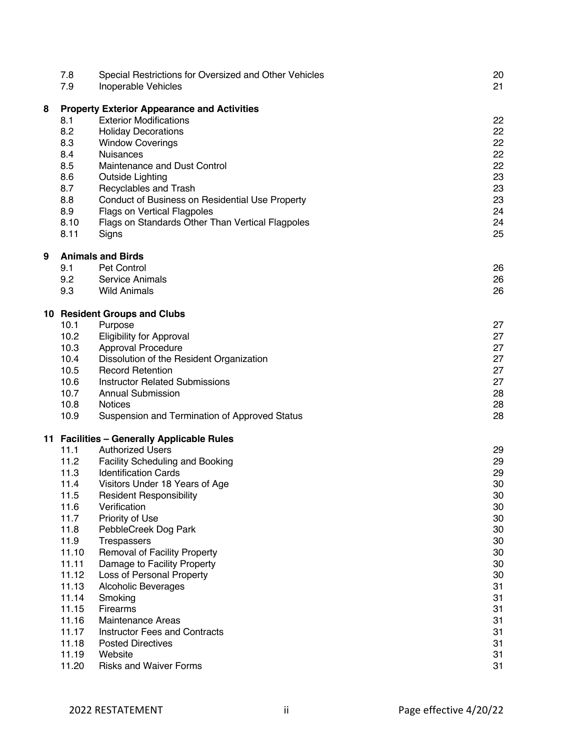|   | 7.8<br>7.9                                         | Special Restrictions for Oversized and Other Vehicles<br>Inoperable Vehicles | 20<br>21 |  |
|---|----------------------------------------------------|------------------------------------------------------------------------------|----------|--|
| 8 | <b>Property Exterior Appearance and Activities</b> |                                                                              |          |  |
|   | 8.1                                                | <b>Exterior Modifications</b>                                                | 22       |  |
|   | 8.2                                                | <b>Holiday Decorations</b>                                                   | 22       |  |
|   | 8.3                                                | <b>Window Coverings</b>                                                      | 22       |  |
|   | 8.4                                                | Nuisances                                                                    | 22       |  |
|   | 8.5                                                | Maintenance and Dust Control                                                 | 22       |  |
|   | 8.6                                                | Outside Lighting                                                             | 23       |  |
|   | 8.7                                                | Recyclables and Trash                                                        | 23       |  |
|   | 8.8                                                | Conduct of Business on Residential Use Property                              | 23       |  |
|   | 8.9                                                | Flags on Vertical Flagpoles                                                  | 24       |  |
|   | 8.10                                               | Flags on Standards Other Than Vertical Flagpoles                             | 24       |  |
|   | 8.11                                               | Signs                                                                        | 25       |  |
| 9 |                                                    | <b>Animals and Birds</b>                                                     |          |  |
|   | 9.1                                                | <b>Pet Control</b>                                                           | 26       |  |
|   | 9.2                                                | Service Animals                                                              | 26       |  |
|   | 9.3                                                | <b>Wild Animals</b>                                                          | 26       |  |
|   |                                                    | 10 Resident Groups and Clubs                                                 |          |  |
|   | 10.1                                               | Purpose                                                                      | 27       |  |
|   | 10.2                                               | <b>Eligibility for Approval</b>                                              | 27       |  |
|   | 10.3                                               | Approval Procedure                                                           | 27       |  |
|   | 10.4                                               | Dissolution of the Resident Organization                                     | 27       |  |
|   | 10.5                                               | <b>Record Retention</b>                                                      | 27       |  |
|   | 10.6                                               | <b>Instructor Related Submissions</b>                                        | 27       |  |
|   | 10.7                                               | <b>Annual Submission</b>                                                     | 28       |  |
|   | 10.8                                               | <b>Notices</b>                                                               | 28       |  |
|   | 10.9                                               | Suspension and Termination of Approved Status                                | 28       |  |
|   |                                                    | 11 Facilities - Generally Applicable Rules                                   |          |  |
|   | 11.1                                               | <b>Authorized Users</b>                                                      | 29       |  |
|   | 11.2                                               | <b>Facility Scheduling and Booking</b>                                       | 29       |  |
|   | 11.3                                               | <b>Identification Cards</b>                                                  | 29       |  |
|   | 11.4                                               | Visitors Under 18 Years of Age                                               | 30       |  |
|   | 11.5                                               | <b>Resident Responsibility</b>                                               | 30       |  |
|   | 11.6                                               | Verification                                                                 | 30       |  |
|   | 11.7                                               | Priority of Use                                                              | 30       |  |
|   | 11.8                                               | PebbleCreek Dog Park                                                         | 30       |  |
|   | 11.9                                               | Trespassers                                                                  | 30       |  |
|   | 11.10                                              | Removal of Facility Property                                                 | 30       |  |
|   | 11.11<br>11.12                                     | Damage to Facility Property                                                  | 30       |  |
|   |                                                    | Loss of Personal Property                                                    | 30       |  |
|   | 11.13<br>11.14                                     | <b>Alcoholic Beverages</b><br>Smoking                                        | 31<br>31 |  |
|   | 11.15                                              | Firearms                                                                     | 31       |  |
|   | 11.16                                              | <b>Maintenance Areas</b>                                                     | 31       |  |
|   | 11.17                                              | <b>Instructor Fees and Contracts</b>                                         | 31       |  |
|   | 11.18                                              | <b>Posted Directives</b>                                                     | 31       |  |
|   | 11.19                                              | Website                                                                      | 31       |  |
|   | 11.20                                              | <b>Risks and Waiver Forms</b>                                                | 31       |  |
|   |                                                    |                                                                              |          |  |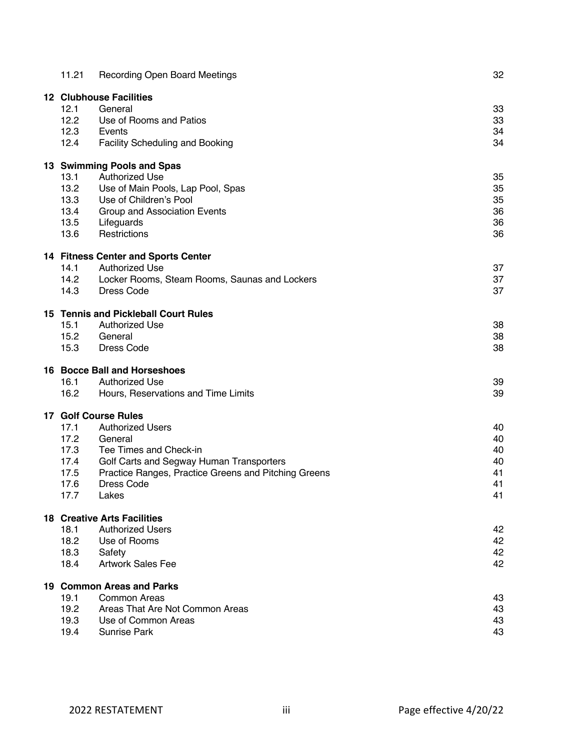| 11.21                                       | <b>Recording Open Board Meetings</b>                 | 32 |  |
|---------------------------------------------|------------------------------------------------------|----|--|
| <b>12 Clubhouse Facilities</b>              |                                                      |    |  |
| 12.1                                        | General                                              | 33 |  |
| 12.2                                        | Use of Rooms and Patios                              | 33 |  |
| 12.3                                        | Events                                               | 34 |  |
| 12.4                                        | <b>Facility Scheduling and Booking</b>               | 34 |  |
| 13 Swimming Pools and Spas                  |                                                      |    |  |
| 13.1                                        | <b>Authorized Use</b>                                | 35 |  |
| 13.2                                        | Use of Main Pools, Lap Pool, Spas                    | 35 |  |
| 13.3                                        | Use of Children's Pool                               | 35 |  |
| 13.4                                        | Group and Association Events                         | 36 |  |
| 13.5                                        | Lifeguards                                           | 36 |  |
| 13.6                                        | Restrictions                                         | 36 |  |
| <b>14 Fitness Center and Sports Center</b>  |                                                      |    |  |
| 14.1                                        | <b>Authorized Use</b>                                | 37 |  |
| 14.2                                        | Locker Rooms, Steam Rooms, Saunas and Lockers        | 37 |  |
| 14.3                                        | Dress Code                                           | 37 |  |
| <b>15 Tennis and Pickleball Court Rules</b> |                                                      |    |  |
| 15.1                                        | <b>Authorized Use</b>                                | 38 |  |
| 15.2                                        | General                                              | 38 |  |
| 15.3                                        | <b>Dress Code</b>                                    | 38 |  |
| 16 Bocce Ball and Horseshoes                |                                                      |    |  |
| 16.1                                        | <b>Authorized Use</b>                                | 39 |  |
| 16.2                                        | Hours, Reservations and Time Limits                  | 39 |  |
|                                             | <b>17 Golf Course Rules</b>                          |    |  |
| 17.1                                        | <b>Authorized Users</b>                              | 40 |  |
| 17.2                                        | General                                              | 40 |  |
| 17.3                                        | Tee Times and Check-in                               | 40 |  |
| 17.4                                        | Golf Carts and Segway Human Transporters             | 40 |  |
| 17.5                                        | Practice Ranges, Practice Greens and Pitching Greens | 41 |  |
| 17.6                                        | Dress Code                                           | 41 |  |
| 17.7                                        | Lakes                                                | 41 |  |
| <b>18 Creative Arts Facilities</b>          |                                                      |    |  |
| 18.1                                        | <b>Authorized Users</b>                              | 42 |  |
| 18.2                                        | Use of Rooms                                         | 42 |  |
| 18.3                                        | Safety                                               | 42 |  |
| 18.4                                        | <b>Artwork Sales Fee</b>                             | 42 |  |
| 19 Common Areas and Parks                   |                                                      |    |  |
| 19.1                                        | Common Areas                                         | 43 |  |
| 19.2                                        | Areas That Are Not Common Areas                      | 43 |  |
| 19.3                                        | Use of Common Areas                                  | 43 |  |
| 19.4                                        | Sunrise Park                                         | 43 |  |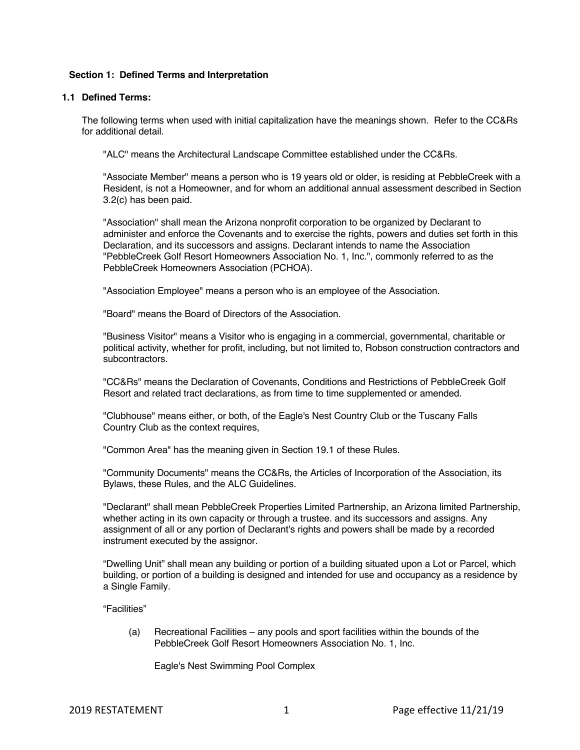## **Section 1: Defined Terms and Interpretation**

#### **1.1 Defined Terms:**

The following terms when used with initial capitalization have the meanings shown. Refer to the CC&Rs for additional detail.

"ALC" means the Architectural Landscape Committee established under the CC&Rs.

"Associate Member" means a person who is 19 years old or older, is residing at PebbleCreek with a Resident, is not a Homeowner, and for whom an additional annual assessment described in Section 3.2(c) has been paid.

"Association" shall mean the Arizona nonprofit corporation to be organized by Declarant to administer and enforce the Covenants and to exercise the rights, powers and duties set forth in this Declaration, and its successors and assigns. Declarant intends to name the Association "PebbleCreek Golf Resort Homeowners Association No. 1, Inc.", commonly referred to as the PebbleCreek Homeowners Association (PCHOA).

"Association Employee" means a person who is an employee of the Association.

"Board" means the Board of Directors of the Association.

"Business Visitor" means a Visitor who is engaging in a commercial, governmental, charitable or political activity, whether for profit, including, but not limited to, Robson construction contractors and subcontractors.

"CC&Rs" means the Declaration of Covenants, Conditions and Restrictions of PebbleCreek Golf Resort and related tract declarations, as from time to time supplemented or amended.

"Clubhouse" means either, or both, of the Eagle's Nest Country Club or the Tuscany Falls Country Club as the context requires,

"Common Area" has the meaning given in Section 19.1 of these Rules.

"Community Documents" means the CC&Rs, the Articles of Incorporation of the Association, its Bylaws, these Rules, and the ALC Guidelines.

"Declarant" shall mean PebbleCreek Properties Limited Partnership, an Arizona limited Partnership, whether acting in its own capacity or through a trustee. and its successors and assigns. Any assignment of all or any portion of Declarant's rights and powers shall be made by a recorded instrument executed by the assignor.

"Dwelling Unit" shall mean any building or portion of a building situated upon a Lot or Parcel, which building, or portion of a building is designed and intended for use and occupancy as a residence by a Single Family.

"Facilities"

(a) Recreational Facilities – any pools and sport facilities within the bounds of the PebbleCreek Golf Resort Homeowners Association No. 1, Inc.

Eagle's Nest Swimming Pool Complex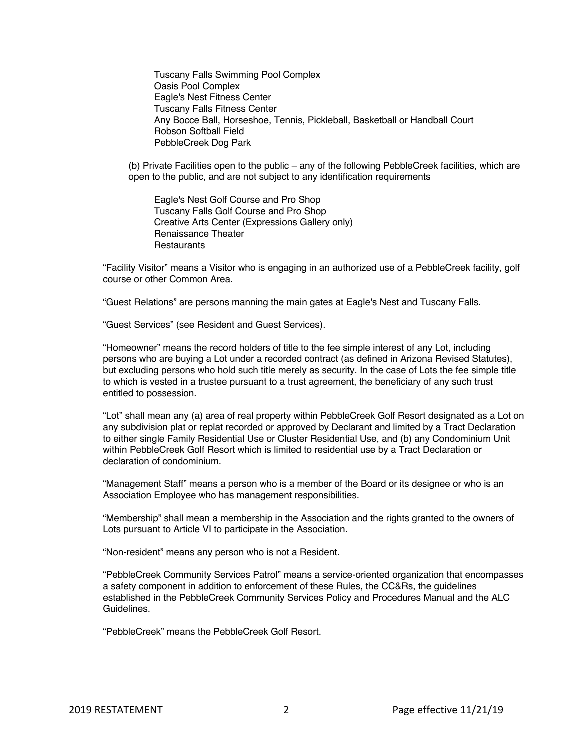Tuscany Falls Swimming Pool Complex Oasis Pool Complex Eagle's Nest Fitness Center Tuscany Falls Fitness Center Any Bocce Ball, Horseshoe, Tennis, Pickleball, Basketball or Handball Court Robson Softball Field PebbleCreek Dog Park

(b) Private Facilities open to the public – any of the following PebbleCreek facilities, which are open to the public, and are not subject to any identification requirements

Eagle's Nest Golf Course and Pro Shop Tuscany Falls Golf Course and Pro Shop Creative Arts Center (Expressions Gallery only) Renaissance Theater **Restaurants** 

"Facility Visitor" means a Visitor who is engaging in an authorized use of a PebbleCreek facility, golf course or other Common Area.

"Guest Relations" are persons manning the main gates at Eagle's Nest and Tuscany Falls.

"Guest Services" (see Resident and Guest Services).

"Homeowner" means the record holders of title to the fee simple interest of any Lot, including persons who are buying a Lot under a recorded contract (as defined in Arizona Revised Statutes), but excluding persons who hold such title merely as security. In the case of Lots the fee simple title to which is vested in a trustee pursuant to a trust agreement, the beneficiary of any such trust entitled to possession.

"Lot" shall mean any (a) area of real property within PebbleCreek Golf Resort designated as a Lot on any subdivision plat or replat recorded or approved by Declarant and limited by a Tract Declaration to either single Family Residential Use or Cluster Residential Use, and (b) any Condominium Unit within PebbleCreek Golf Resort which is limited to residential use by a Tract Declaration or declaration of condominium.

"Management Staff" means a person who is a member of the Board or its designee or who is an Association Employee who has management responsibilities.

"Membership" shall mean a membership in the Association and the rights granted to the owners of Lots pursuant to Article VI to participate in the Association.

"Non-resident" means any person who is not a Resident.

"PebbleCreek Community Services Patrol" means a service-oriented organization that encompasses a safety component in addition to enforcement of these Rules, the CC&Rs, the guidelines established in the PebbleCreek Community Services Policy and Procedures Manual and the ALC Guidelines.

"PebbleCreek" means the PebbleCreek Golf Resort.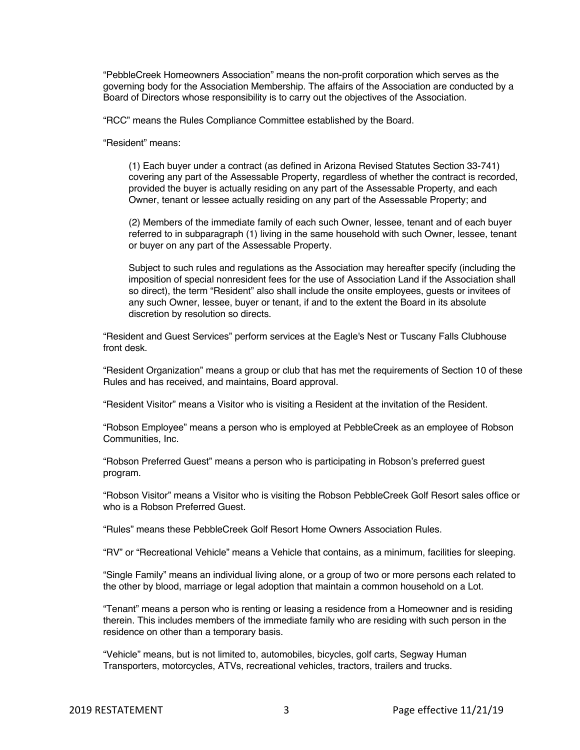"PebbleCreek Homeowners Association" means the non-profit corporation which serves as the governing body for the Association Membership. The affairs of the Association are conducted by a Board of Directors whose responsibility is to carry out the objectives of the Association.

"RCC" means the Rules Compliance Committee established by the Board.

"Resident" means:

(1) Each buyer under a contract (as defined in Arizona Revised Statutes Section 33-741) covering any part of the Assessable Property, regardless of whether the contract is recorded, provided the buyer is actually residing on any part of the Assessable Property, and each Owner, tenant or lessee actually residing on any part of the Assessable Property; and

(2) Members of the immediate family of each such Owner, lessee, tenant and of each buyer referred to in subparagraph (1) living in the same household with such Owner, lessee, tenant or buyer on any part of the Assessable Property.

Subject to such rules and regulations as the Association may hereafter specify (including the imposition of special nonresident fees for the use of Association Land if the Association shall so direct), the term "Resident" also shall include the onsite employees, guests or invitees of any such Owner, lessee, buyer or tenant, if and to the extent the Board in its absolute discretion by resolution so directs.

"Resident and Guest Services" perform services at the Eagle's Nest or Tuscany Falls Clubhouse front desk.

"Resident Organization" means a group or club that has met the requirements of Section 10 of these Rules and has received, and maintains, Board approval.

"Resident Visitor" means a Visitor who is visiting a Resident at the invitation of the Resident.

"Robson Employee" means a person who is employed at PebbleCreek as an employee of Robson Communities, Inc.

"Robson Preferred Guest" means a person who is participating in Robson's preferred guest program.

"Robson Visitor" means a Visitor who is visiting the Robson PebbleCreek Golf Resort sales office or who is a Robson Preferred Guest.

"Rules" means these PebbleCreek Golf Resort Home Owners Association Rules.

"RV" or "Recreational Vehicle" means a Vehicle that contains, as a minimum, facilities for sleeping.

"Single Family" means an individual living alone, or a group of two or more persons each related to the other by blood, marriage or legal adoption that maintain a common household on a Lot.

"Tenant" means a person who is renting or leasing a residence from a Homeowner and is residing therein. This includes members of the immediate family who are residing with such person in the residence on other than a temporary basis.

"Vehicle" means, but is not limited to, automobiles, bicycles, golf carts, Segway Human Transporters, motorcycles, ATVs, recreational vehicles, tractors, trailers and trucks.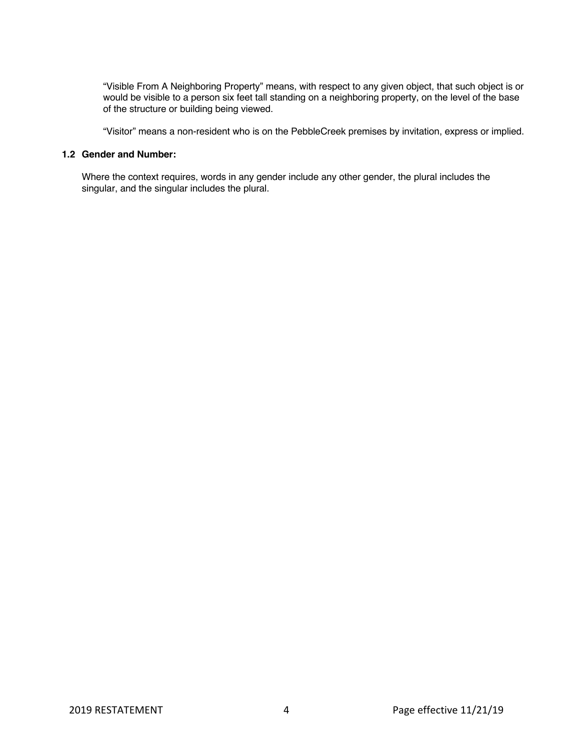"Visible From A Neighboring Property" means, with respect to any given object, that such object is or would be visible to a person six feet tall standing on a neighboring property, on the level of the base of the structure or building being viewed.

"Visitor" means a non-resident who is on the PebbleCreek premises by invitation, express or implied.

## **1.2 Gender and Number:**

Where the context requires, words in any gender include any other gender, the plural includes the singular, and the singular includes the plural.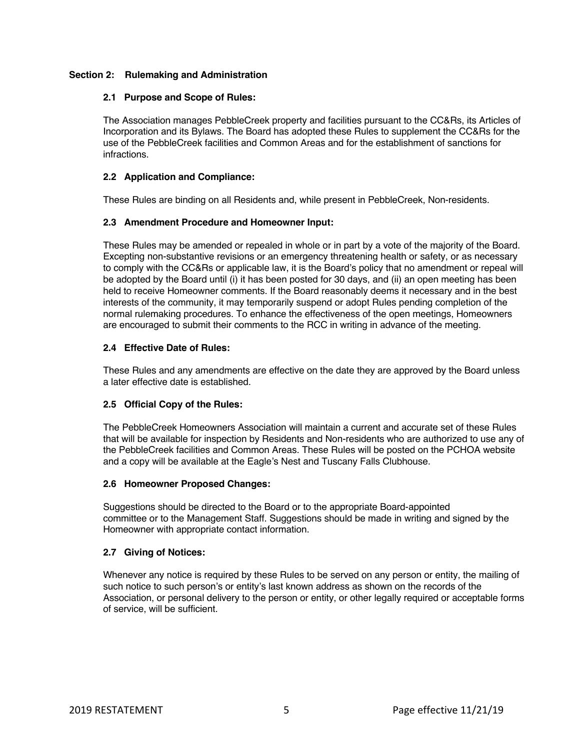## **Section 2: Rulemaking and Administration**

## **2.1 Purpose and Scope of Rules:**

The Association manages PebbleCreek property and facilities pursuant to the CC&Rs, its Articles of Incorporation and its Bylaws. The Board has adopted these Rules to supplement the CC&Rs for the use of the PebbleCreek facilities and Common Areas and for the establishment of sanctions for infractions.

# **2.2 Application and Compliance:**

These Rules are binding on all Residents and, while present in PebbleCreek, Non-residents.

## **2.3 Amendment Procedure and Homeowner Input:**

These Rules may be amended or repealed in whole or in part by a vote of the majority of the Board. Excepting non-substantive revisions or an emergency threatening health or safety, or as necessary to comply with the CC&Rs or applicable law, it is the Board's policy that no amendment or repeal will be adopted by the Board until (i) it has been posted for 30 days, and (ii) an open meeting has been held to receive Homeowner comments. If the Board reasonably deems it necessary and in the best interests of the community, it may temporarily suspend or adopt Rules pending completion of the normal rulemaking procedures. To enhance the effectiveness of the open meetings, Homeowners are encouraged to submit their comments to the RCC in writing in advance of the meeting.

## **2.4 Effective Date of Rules:**

These Rules and any amendments are effective on the date they are approved by the Board unless a later effective date is established.

# **2.5 Official Copy of the Rules:**

The PebbleCreek Homeowners Association will maintain a current and accurate set of these Rules that will be available for inspection by Residents and Non-residents who are authorized to use any of the PebbleCreek facilities and Common Areas. These Rules will be posted on the PCHOA website and a copy will be available at the Eagle's Nest and Tuscany Falls Clubhouse.

#### **2.6 Homeowner Proposed Changes:**

Suggestions should be directed to the Board or to the appropriate Board-appointed committee or to the Management Staff. Suggestions should be made in writing and signed by the Homeowner with appropriate contact information.

# **2.7 Giving of Notices:**

Whenever any notice is required by these Rules to be served on any person or entity, the mailing of such notice to such person's or entity's last known address as shown on the records of the Association, or personal delivery to the person or entity, or other legally required or acceptable forms of service, will be sufficient.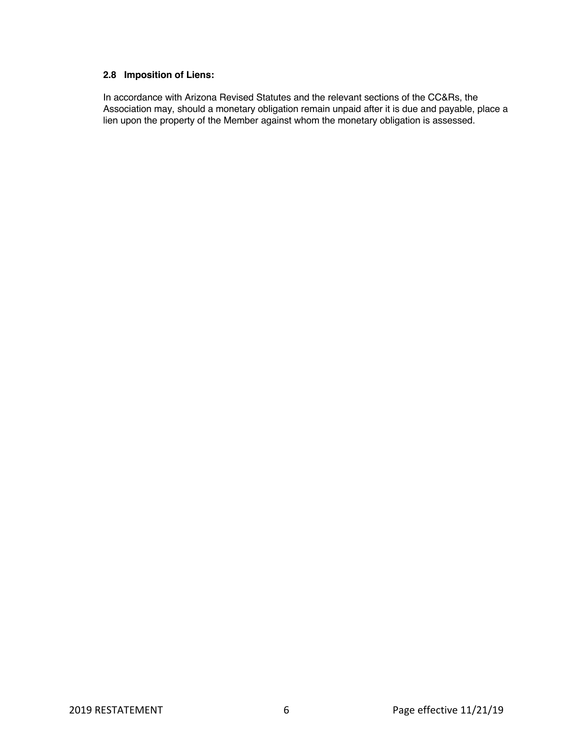# **2.8 Imposition of Liens:**

In accordance with Arizona Revised Statutes and the relevant sections of the CC&Rs, the Association may, should a monetary obligation remain unpaid after it is due and payable, place a lien upon the property of the Member against whom the monetary obligation is assessed.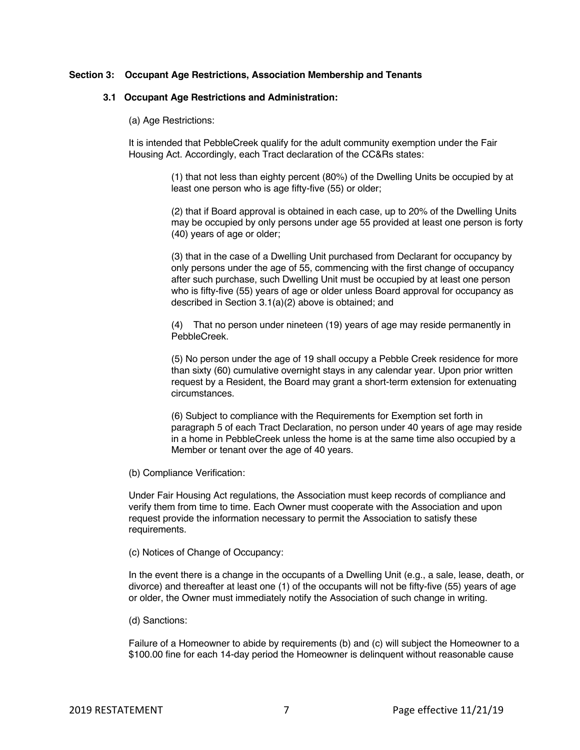#### **Section 3: Occupant Age Restrictions, Association Membership and Tenants**

#### **3.1 Occupant Age Restrictions and Administration:**

(a) Age Restrictions:

It is intended that PebbleCreek qualify for the adult community exemption under the Fair Housing Act. Accordingly, each Tract declaration of the CC&Rs states:

> (1) that not less than eighty percent (80%) of the Dwelling Units be occupied by at least one person who is age fifty-five (55) or older;

(2) that if Board approval is obtained in each case, up to 20% of the Dwelling Units may be occupied by only persons under age 55 provided at least one person is forty (40) years of age or older;

(3) that in the case of a Dwelling Unit purchased from Declarant for occupancy by only persons under the age of 55, commencing with the first change of occupancy after such purchase, such Dwelling Unit must be occupied by at least one person who is fifty-five (55) years of age or older unless Board approval for occupancy as described in Section 3.1(a)(2) above is obtained; and

(4) That no person under nineteen (19) years of age may reside permanently in PebbleCreek.

(5) No person under the age of 19 shall occupy a Pebble Creek residence for more than sixty (60) cumulative overnight stays in any calendar year. Upon prior written request by a Resident, the Board may grant a short-term extension for extenuating circumstances.

(6) Subject to compliance with the Requirements for Exemption set forth in paragraph 5 of each Tract Declaration, no person under 40 years of age may reside in a home in PebbleCreek unless the home is at the same time also occupied by a Member or tenant over the age of 40 years.

(b) Compliance Verification:

Under Fair Housing Act regulations, the Association must keep records of compliance and verify them from time to time. Each Owner must cooperate with the Association and upon request provide the information necessary to permit the Association to satisfy these requirements.

(c) Notices of Change of Occupancy:

In the event there is a change in the occupants of a Dwelling Unit (e.g., a sale, lease, death, or divorce) and thereafter at least one (1) of the occupants will not be fifty-five (55) years of age or older, the Owner must immediately notify the Association of such change in writing.

(d) Sanctions:

Failure of a Homeowner to abide by requirements (b) and (c) will subject the Homeowner to a \$100.00 fine for each 14-day period the Homeowner is delinquent without reasonable cause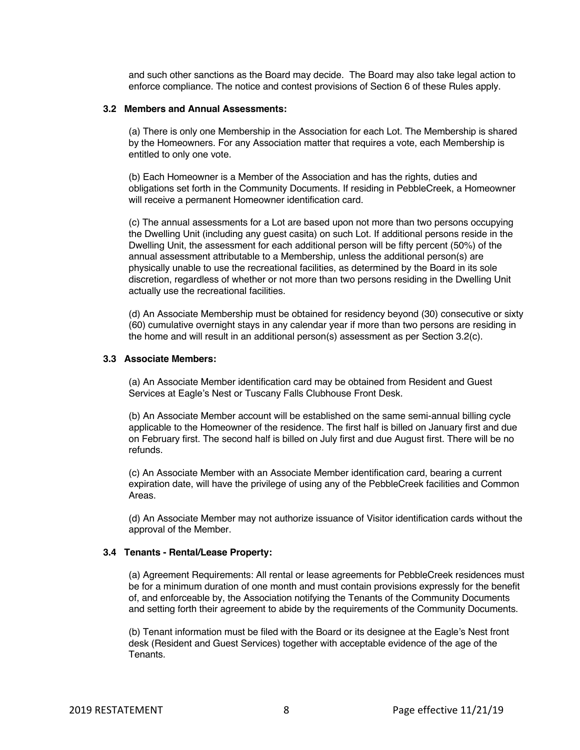and such other sanctions as the Board may decide. The Board may also take legal action to enforce compliance. The notice and contest provisions of Section 6 of these Rules apply.

## **3.2 Members and Annual Assessments:**

(a) There is only one Membership in the Association for each Lot. The Membership is shared by the Homeowners. For any Association matter that requires a vote, each Membership is entitled to only one vote.

(b) Each Homeowner is a Member of the Association and has the rights, duties and obligations set forth in the Community Documents. If residing in PebbleCreek, a Homeowner will receive a permanent Homeowner identification card.

(c) The annual assessments for a Lot are based upon not more than two persons occupying the Dwelling Unit (including any guest casita) on such Lot. If additional persons reside in the Dwelling Unit, the assessment for each additional person will be fifty percent (50%) of the annual assessment attributable to a Membership, unless the additional person(s) are physically unable to use the recreational facilities, as determined by the Board in its sole discretion, regardless of whether or not more than two persons residing in the Dwelling Unit actually use the recreational facilities.

(d) An Associate Membership must be obtained for residency beyond (30) consecutive or sixty (60) cumulative overnight stays in any calendar year if more than two persons are residing in the home and will result in an additional person(s) assessment as per Section 3.2(c).

#### **3.3 Associate Members:**

(a) An Associate Member identification card may be obtained from Resident and Guest Services at Eagle's Nest or Tuscany Falls Clubhouse Front Desk.

(b) An Associate Member account will be established on the same semi-annual billing cycle applicable to the Homeowner of the residence. The first half is billed on January first and due on February first. The second half is billed on July first and due August first. There will be no refunds.

(c) An Associate Member with an Associate Member identification card, bearing a current expiration date, will have the privilege of using any of the PebbleCreek facilities and Common Areas.

(d) An Associate Member may not authorize issuance of Visitor identification cards without the approval of the Member.

#### **3.4 Tenants - Rental/Lease Property:**

(a) Agreement Requirements: All rental or lease agreements for PebbleCreek residences must be for a minimum duration of one month and must contain provisions expressly for the benefit of, and enforceable by, the Association notifying the Tenants of the Community Documents and setting forth their agreement to abide by the requirements of the Community Documents.

(b) Tenant information must be filed with the Board or its designee at the Eagle's Nest front desk (Resident and Guest Services) together with acceptable evidence of the age of the **Tenants**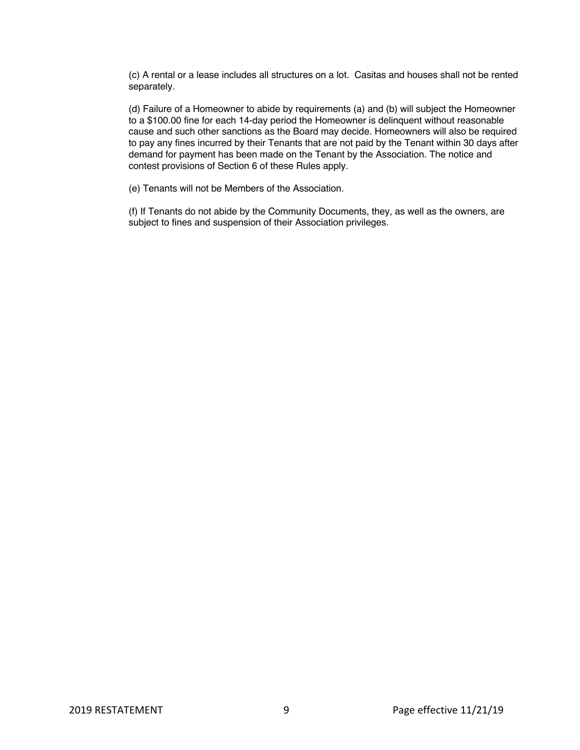(c) A rental or a lease includes all structures on a lot. Casitas and houses shall not be rented separately.

(d) Failure of a Homeowner to abide by requirements (a) and (b) will subject the Homeowner to a \$100.00 fine for each 14-day period the Homeowner is delinquent without reasonable cause and such other sanctions as the Board may decide. Homeowners will also be required to pay any fines incurred by their Tenants that are not paid by the Tenant within 30 days after demand for payment has been made on the Tenant by the Association. The notice and contest provisions of Section 6 of these Rules apply.

(e) Tenants will not be Members of the Association.

(f) If Tenants do not abide by the Community Documents, they, as well as the owners, are subject to fines and suspension of their Association privileges.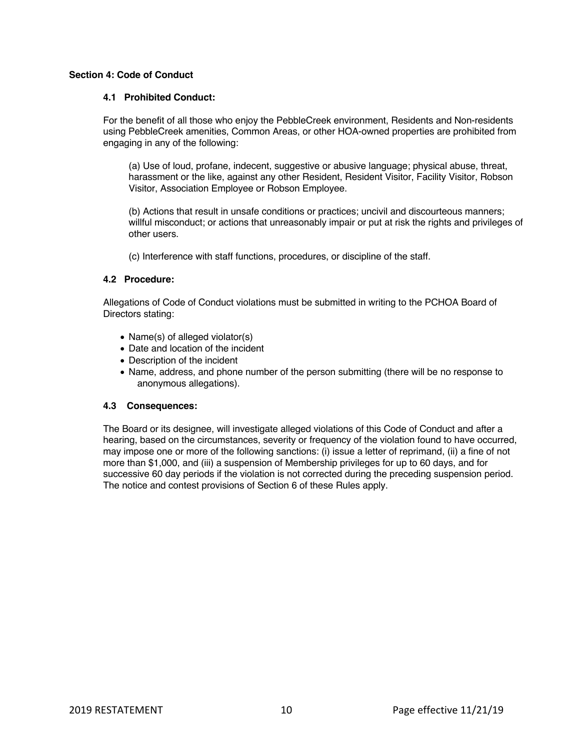## **Section 4: Code of Conduct**

## **4.1 Prohibited Conduct:**

For the benefit of all those who enjoy the PebbleCreek environment, Residents and Non-residents using PebbleCreek amenities, Common Areas, or other HOA-owned properties are prohibited from engaging in any of the following:

(a) Use of loud, profane, indecent, suggestive or abusive language; physical abuse, threat, harassment or the like, against any other Resident, Resident Visitor, Facility Visitor, Robson Visitor, Association Employee or Robson Employee.

(b) Actions that result in unsafe conditions or practices; uncivil and discourteous manners; willful misconduct; or actions that unreasonably impair or put at risk the rights and privileges of other users.

(c) Interference with staff functions, procedures, or discipline of the staff.

## **4.2 Procedure:**

Allegations of Code of Conduct violations must be submitted in writing to the PCHOA Board of Directors stating:

- Name(s) of alleged violator(s)
- Date and location of the incident
- Description of the incident
- Name, address, and phone number of the person submitting (there will be no response to anonymous allegations).

## **4.3 Consequences:**

The Board or its designee, will investigate alleged violations of this Code of Conduct and after a hearing, based on the circumstances, severity or frequency of the violation found to have occurred, may impose one or more of the following sanctions: (i) issue a letter of reprimand, (ii) a fine of not more than \$1,000, and (iii) a suspension of Membership privileges for up to 60 days, and for successive 60 day periods if the violation is not corrected during the preceding suspension period. The notice and contest provisions of Section 6 of these Rules apply.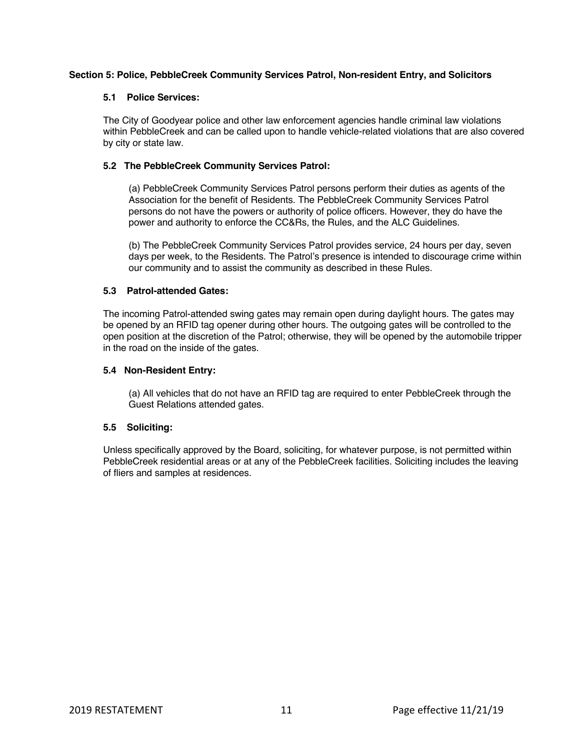## **Section 5: Police, PebbleCreek Community Services Patrol, Non-resident Entry, and Solicitors**

#### **5.1 Police Services:**

The City of Goodyear police and other law enforcement agencies handle criminal law violations within PebbleCreek and can be called upon to handle vehicle-related violations that are also covered by city or state law.

## **5.2 The PebbleCreek Community Services Patrol:**

(a) PebbleCreek Community Services Patrol persons perform their duties as agents of the Association for the benefit of Residents. The PebbleCreek Community Services Patrol persons do not have the powers or authority of police officers. However, they do have the power and authority to enforce the CC&Rs, the Rules, and the ALC Guidelines.

(b) The PebbleCreek Community Services Patrol provides service, 24 hours per day, seven days per week, to the Residents. The Patrol's presence is intended to discourage crime within our community and to assist the community as described in these Rules.

## **5.3 Patrol-attended Gates:**

The incoming Patrol-attended swing gates may remain open during daylight hours. The gates may be opened by an RFID tag opener during other hours. The outgoing gates will be controlled to the open position at the discretion of the Patrol; otherwise, they will be opened by the automobile tripper in the road on the inside of the gates.

## **5.4 Non-Resident Entry:**

(a) All vehicles that do not have an RFID tag are required to enter PebbleCreek through the Guest Relations attended gates.

# **5.5 Soliciting:**

Unless specifically approved by the Board, soliciting, for whatever purpose, is not permitted within PebbleCreek residential areas or at any of the PebbleCreek facilities. Soliciting includes the leaving of fliers and samples at residences.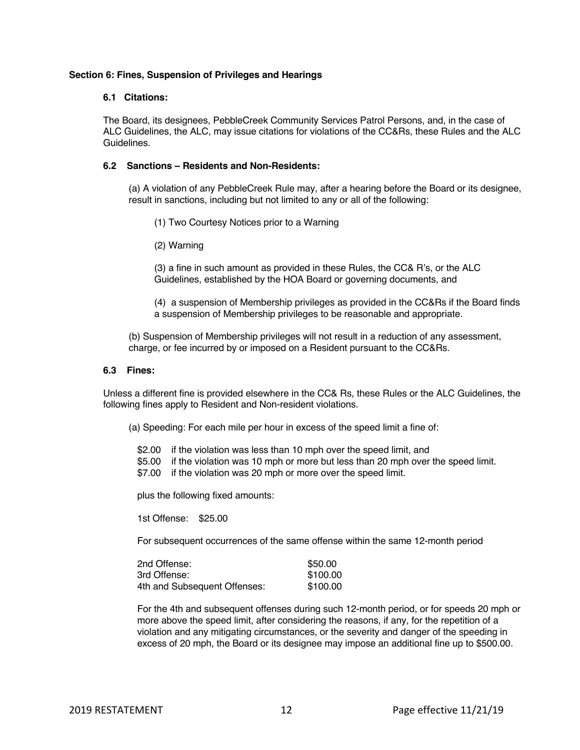#### **Section 6: Fines, Suspension of Privileges and Hearings**

#### **6.1 Citations:**

The Board, its designees, PebbleCreek Community Services Patrol Persons, and, in the case of ALC Guidelines, the ALC, may issue citations for violations of the CC&Rs, these Rules and the ALC Guidelines.

## **6.2 Sanctions – Residents and Non-Residents:**

(a) A violation of any PebbleCreek Rule may, after a hearing before the Board or its designee, result in sanctions, including but not limited to any or all of the following:

- (1) Two Courtesy Notices prior to a Warning
- (2) Warning

(3) a fine in such amount as provided in these Rules, the CC& R's, or the ALC Guidelines, established by the HOA Board or governing documents, and

(4) a suspension of Membership privileges as provided in the CC&Rs if the Board finds a suspension of Membership privileges to be reasonable and appropriate.

(b) Suspension of Membership privileges will not result in a reduction of any assessment, charge, or fee incurred by or imposed on a Resident pursuant to the CC&Rs.

#### **6.3 Fines:**

Unless a different fine is provided elsewhere in the CC& Rs, these Rules or the ALC Guidelines, the following fines apply to Resident and Non-resident violations.

(a) Speeding: For each mile per hour in excess of the speed limit a fine of:

- \$2.00 if the violation was less than 10 mph over the speed limit, and
- \$5.00 if the violation was 10 mph or more but less than 20 mph over the speed limit.
- \$7.00 if the violation was 20 mph or more over the speed limit.

plus the following fixed amounts:

1st Offense: \$25.00

For subsequent occurrences of the same offense within the same 12-month period

| 2nd Offense:                 | \$50.00  |
|------------------------------|----------|
| 3rd Offense:                 | \$100.00 |
| 4th and Subsequent Offenses: | \$100.00 |

For the 4th and subsequent offenses during such 12-month period, or for speeds 20 mph or more above the speed limit, after considering the reasons, if any, for the repetition of a violation and any mitigating circumstances, or the severity and danger of the speeding in excess of 20 mph, the Board or its designee may impose an additional fine up to \$500.00.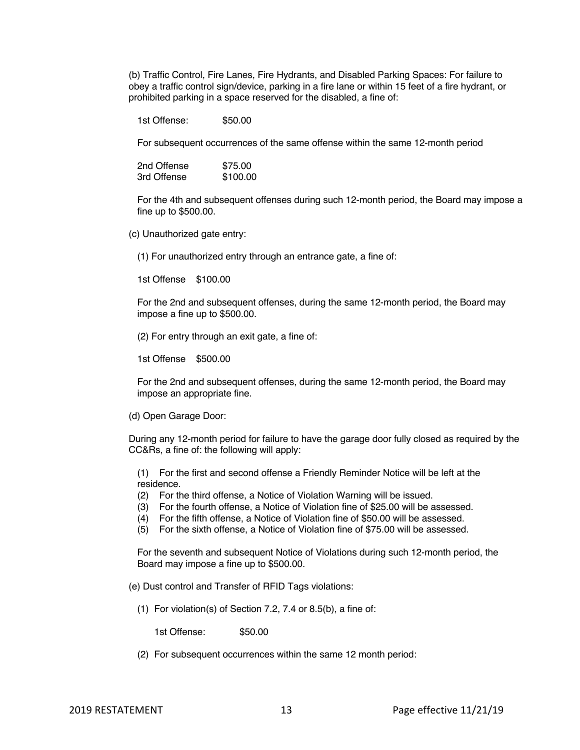(b) Traffic Control, Fire Lanes, Fire Hydrants, and Disabled Parking Spaces: For failure to obey a traffic control sign/device, parking in a fire lane or within 15 feet of a fire hydrant, or prohibited parking in a space reserved for the disabled, a fine of:

1st Offense: \$50.00

For subsequent occurrences of the same offense within the same 12-month period

2nd Offense \$75.00<br>3rd Offense \$100.00 3rd Offense

For the 4th and subsequent offenses during such 12-month period, the Board may impose a fine up to \$500.00.

(c) Unauthorized gate entry:

(1) For unauthorized entry through an entrance gate, a fine of:

1st Offense \$100.00

For the 2nd and subsequent offenses, during the same 12-month period, the Board may impose a fine up to \$500.00.

(2) For entry through an exit gate, a fine of:

1st Offense \$500.00

For the 2nd and subsequent offenses, during the same 12-month period, the Board may impose an appropriate fine.

(d) Open Garage Door:

During any 12-month period for failure to have the garage door fully closed as required by the CC&Rs, a fine of: the following will apply:

(1) For the first and second offense a Friendly Reminder Notice will be left at the residence.

- (2) For the third offense, a Notice of Violation Warning will be issued.
- (3) For the fourth offense, a Notice of Violation fine of \$25.00 will be assessed.
- (4) For the fifth offense, a Notice of Violation fine of \$50.00 will be assessed.
- (5) For the sixth offense, a Notice of Violation fine of \$75.00 will be assessed.

For the seventh and subsequent Notice of Violations during such 12-month period, the Board may impose a fine up to \$500.00.

(e) Dust control and Transfer of RFID Tags violations:

(1) For violation(s) of Section 7.2, 7.4 or 8.5(b), a fine of:

1st Offense: \$50.00

(2) For subsequent occurrences within the same 12 month period: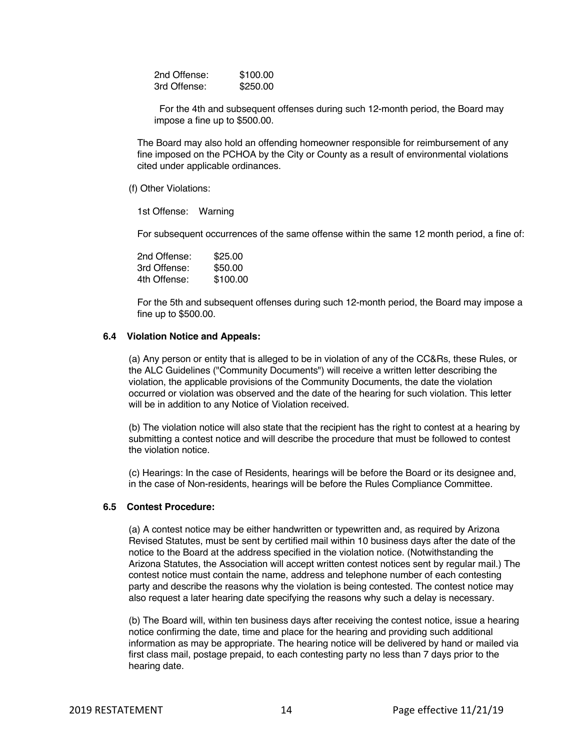2nd Offense: \$100.00 3rd Offense: \$250.00

For the 4th and subsequent offenses during such 12-month period, the Board may impose a fine up to \$500.00.

The Board may also hold an offending homeowner responsible for reimbursement of any fine imposed on the PCHOA by the City or County as a result of environmental violations cited under applicable ordinances.

(f) Other Violations:

1st Offense: Warning

For subsequent occurrences of the same offense within the same 12 month period, a fine of:

2nd Offense: \$25.00 3rd Offense: \$50.00 4th Offense: \$100.00

For the 5th and subsequent offenses during such 12-month period, the Board may impose a fine up to \$500.00.

#### **6.4 Violation Notice and Appeals:**

(a) Any person or entity that is alleged to be in violation of any of the CC&Rs, these Rules, or the ALC Guidelines ("Community Documents") will receive a written letter describing the violation, the applicable provisions of the Community Documents, the date the violation occurred or violation was observed and the date of the hearing for such violation. This letter will be in addition to any Notice of Violation received.

(b) The violation notice will also state that the recipient has the right to contest at a hearing by submitting a contest notice and will describe the procedure that must be followed to contest the violation notice.

(c) Hearings: In the case of Residents, hearings will be before the Board or its designee and, in the case of Non-residents, hearings will be before the Rules Compliance Committee.

## **6.5 Contest Procedure:**

(a) A contest notice may be either handwritten or typewritten and, as required by Arizona Revised Statutes, must be sent by certified mail within 10 business days after the date of the notice to the Board at the address specified in the violation notice. (Notwithstanding the Arizona Statutes, the Association will accept written contest notices sent by regular mail.) The contest notice must contain the name, address and telephone number of each contesting party and describe the reasons why the violation is being contested. The contest notice may also request a later hearing date specifying the reasons why such a delay is necessary.

(b) The Board will, within ten business days after receiving the contest notice, issue a hearing notice confirming the date, time and place for the hearing and providing such additional information as may be appropriate. The hearing notice will be delivered by hand or mailed via first class mail, postage prepaid, to each contesting party no less than 7 days prior to the hearing date.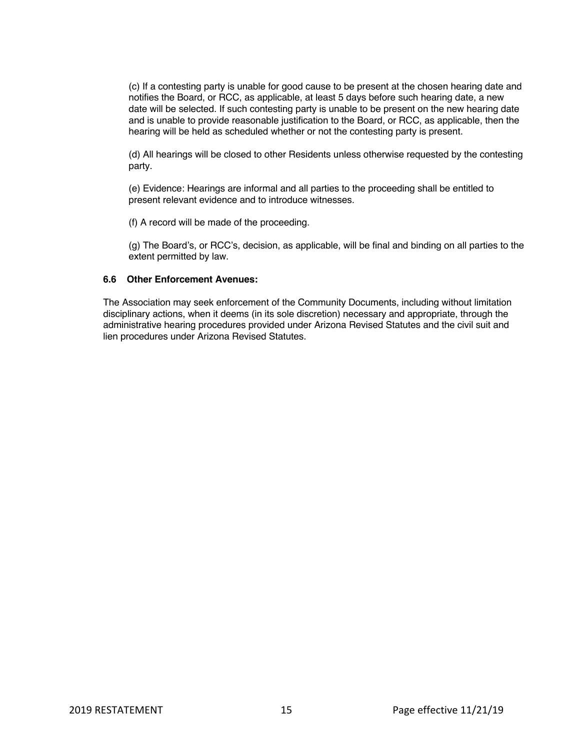(c) If a contesting party is unable for good cause to be present at the chosen hearing date and notifies the Board, or RCC, as applicable, at least 5 days before such hearing date, a new date will be selected. If such contesting party is unable to be present on the new hearing date and is unable to provide reasonable justification to the Board, or RCC, as applicable, then the hearing will be held as scheduled whether or not the contesting party is present.

(d) All hearings will be closed to other Residents unless otherwise requested by the contesting party.

(e) Evidence: Hearings are informal and all parties to the proceeding shall be entitled to present relevant evidence and to introduce witnesses.

(f) A record will be made of the proceeding.

(g) The Board's, or RCC's, decision, as applicable, will be final and binding on all parties to the extent permitted by law.

#### **6.6 Other Enforcement Avenues:**

The Association may seek enforcement of the Community Documents, including without limitation disciplinary actions, when it deems (in its sole discretion) necessary and appropriate, through the administrative hearing procedures provided under Arizona Revised Statutes and the civil suit and lien procedures under Arizona Revised Statutes.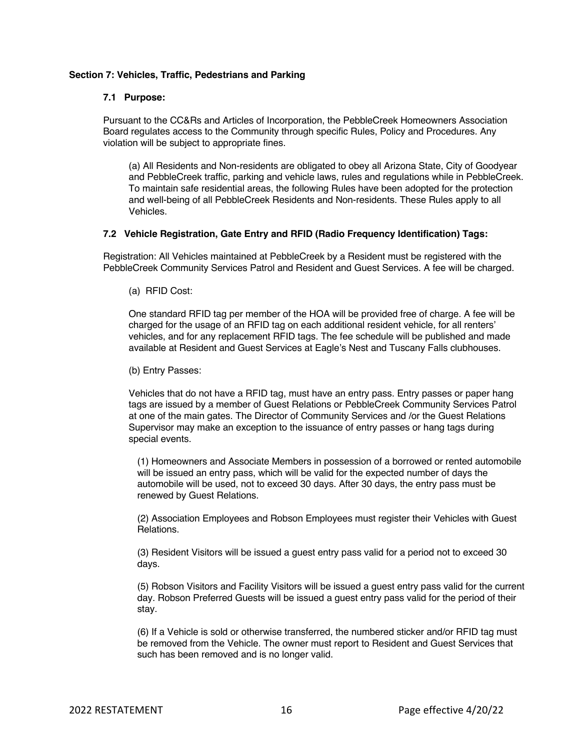## **Section 7: Vehicles, Traffic, Pedestrians and Parking**

#### **7.1 Purpose:**

Pursuant to the CC&Rs and Articles of Incorporation, the PebbleCreek Homeowners Association Board regulates access to the Community through specific Rules, Policy and Procedures. Any violation will be subject to appropriate fines.

(a) All Residents and Non-residents are obligated to obey all Arizona State, City of Goodyear and PebbleCreek traffic, parking and vehicle laws, rules and regulations while in PebbleCreek. To maintain safe residential areas, the following Rules have been adopted for the protection and well-being of all PebbleCreek Residents and Non-residents. These Rules apply to all Vehicles.

## **7.2 Vehicle Registration, Gate Entry and RFID (Radio Frequency Identification) Tags:**

Registration: All Vehicles maintained at PebbleCreek by a Resident must be registered with the PebbleCreek Community Services Patrol and Resident and Guest Services. A fee will be charged.

(a) RFID Cost:

One standard RFID tag per member of the HOA will be provided free of charge. A fee will be charged for the usage of an RFID tag on each additional resident vehicle, for all renters' vehicles, and for any replacement RFID tags. The fee schedule will be published and made available at Resident and Guest Services at Eagle's Nest and Tuscany Falls clubhouses.

(b) Entry Passes:

Vehicles that do not have a RFID tag, must have an entry pass. Entry passes or paper hang tags are issued by a member of Guest Relations or PebbleCreek Community Services Patrol at one of the main gates. The Director of Community Services and /or the Guest Relations Supervisor may make an exception to the issuance of entry passes or hang tags during special events.

(1) Homeowners and Associate Members in possession of a borrowed or rented automobile will be issued an entry pass, which will be valid for the expected number of days the automobile will be used, not to exceed 30 days. After 30 days, the entry pass must be renewed by Guest Relations.

(2) Association Employees and Robson Employees must register their Vehicles with Guest Relations.

(3) Resident Visitors will be issued a guest entry pass valid for a period not to exceed 30 days.

(5) Robson Visitors and Facility Visitors will be issued a guest entry pass valid for the current day. Robson Preferred Guests will be issued a guest entry pass valid for the period of their stay.

(6) If a Vehicle is sold or otherwise transferred, the numbered sticker and/or RFID tag must be removed from the Vehicle. The owner must report to Resident and Guest Services that such has been removed and is no longer valid.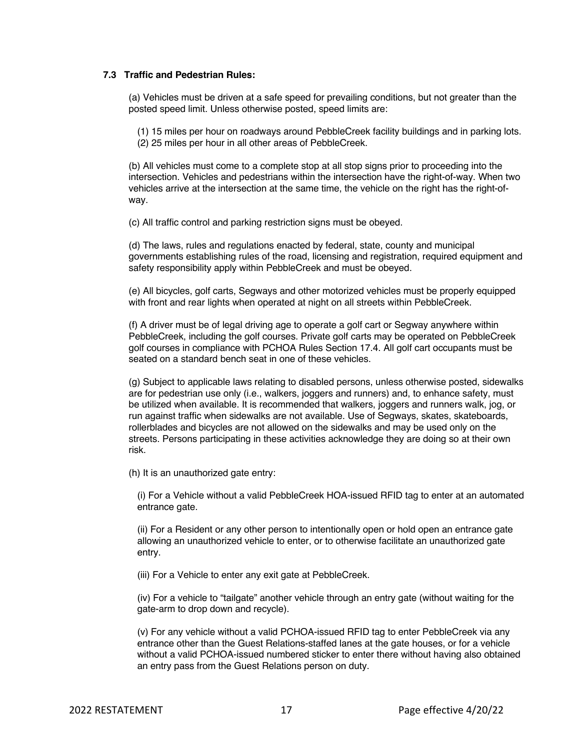#### **7.3 Traffic and Pedestrian Rules:**

(a) Vehicles must be driven at a safe speed for prevailing conditions, but not greater than the posted speed limit. Unless otherwise posted, speed limits are:

(1) 15 miles per hour on roadways around PebbleCreek facility buildings and in parking lots. (2) 25 miles per hour in all other areas of PebbleCreek.

(b) All vehicles must come to a complete stop at all stop signs prior to proceeding into the intersection. Vehicles and pedestrians within the intersection have the right-of-way. When two vehicles arrive at the intersection at the same time, the vehicle on the right has the right-ofway.

(c) All traffic control and parking restriction signs must be obeyed.

(d) The laws, rules and regulations enacted by federal, state, county and municipal governments establishing rules of the road, licensing and registration, required equipment and safety responsibility apply within PebbleCreek and must be obeyed.

(e) All bicycles, golf carts, Segways and other motorized vehicles must be properly equipped with front and rear lights when operated at night on all streets within PebbleCreek.

(f) A driver must be of legal driving age to operate a golf cart or Segway anywhere within PebbleCreek, including the golf courses. Private golf carts may be operated on PebbleCreek golf courses in compliance with PCHOA Rules Section 17.4. All golf cart occupants must be seated on a standard bench seat in one of these vehicles.

(g) Subject to applicable laws relating to disabled persons, unless otherwise posted, sidewalks are for pedestrian use only (i.e., walkers, joggers and runners) and, to enhance safety, must be utilized when available. It is recommended that walkers, joggers and runners walk, jog, or run against traffic when sidewalks are not available. Use of Segways, skates, skateboards, rollerblades and bicycles are not allowed on the sidewalks and may be used only on the streets. Persons participating in these activities acknowledge they are doing so at their own risk.

(h) It is an unauthorized gate entry:

(i) For a Vehicle without a valid PebbleCreek HOA-issued RFID tag to enter at an automated entrance gate.

(ii) For a Resident or any other person to intentionally open or hold open an entrance gate allowing an unauthorized vehicle to enter, or to otherwise facilitate an unauthorized gate entry.

(iii) For a Vehicle to enter any exit gate at PebbleCreek.

(iv) For a vehicle to "tailgate" another vehicle through an entry gate (without waiting for the gate-arm to drop down and recycle).

(v) For any vehicle without a valid PCHOA-issued RFID tag to enter PebbleCreek via any entrance other than the Guest Relations-staffed lanes at the gate houses, or for a vehicle without a valid PCHOA-issued numbered sticker to enter there without having also obtained an entry pass from the Guest Relations person on duty.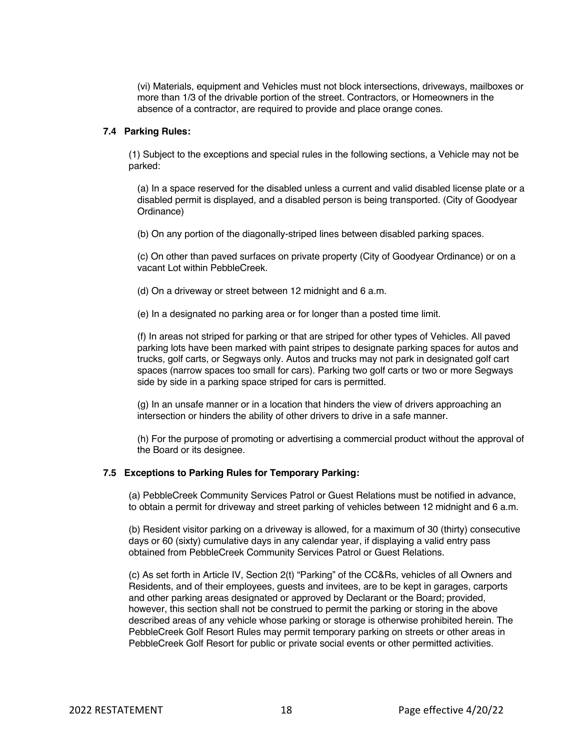(vi) Materials, equipment and Vehicles must not block intersections, driveways, mailboxes or more than 1/3 of the drivable portion of the street. Contractors, or Homeowners in the absence of a contractor, are required to provide and place orange cones.

#### **7.4 Parking Rules:**

(1) Subject to the exceptions and special rules in the following sections, a Vehicle may not be parked:

(a) In a space reserved for the disabled unless a current and valid disabled license plate or a disabled permit is displayed, and a disabled person is being transported. (City of Goodyear Ordinance)

(b) On any portion of the diagonally-striped lines between disabled parking spaces.

(c) On other than paved surfaces on private property (City of Goodyear Ordinance) or on a vacant Lot within PebbleCreek.

(d) On a driveway or street between 12 midnight and 6 a.m.

(e) In a designated no parking area or for longer than a posted time limit.

(f) In areas not striped for parking or that are striped for other types of Vehicles. All paved parking lots have been marked with paint stripes to designate parking spaces for autos and trucks, golf carts, or Segways only. Autos and trucks may not park in designated golf cart spaces (narrow spaces too small for cars). Parking two golf carts or two or more Segways side by side in a parking space striped for cars is permitted.

(g) In an unsafe manner or in a location that hinders the view of drivers approaching an intersection or hinders the ability of other drivers to drive in a safe manner.

(h) For the purpose of promoting or advertising a commercial product without the approval of the Board or its designee.

# **7.5 Exceptions to Parking Rules for Temporary Parking:**

(a) PebbleCreek Community Services Patrol or Guest Relations must be notified in advance, to obtain a permit for driveway and street parking of vehicles between 12 midnight and 6 a.m.

(b) Resident visitor parking on a driveway is allowed, for a maximum of 30 (thirty) consecutive days or 60 (sixty) cumulative days in any calendar year, if displaying a valid entry pass obtained from PebbleCreek Community Services Patrol or Guest Relations.

(c) As set forth in Article IV, Section 2(t) "Parking" of the CC&Rs, vehicles of all Owners and Residents, and of their employees, guests and invitees, are to be kept in garages, carports and other parking areas designated or approved by Declarant or the Board; provided, however, this section shall not be construed to permit the parking or storing in the above described areas of any vehicle whose parking or storage is otherwise prohibited herein. The PebbleCreek Golf Resort Rules may permit temporary parking on streets or other areas in PebbleCreek Golf Resort for public or private social events or other permitted activities.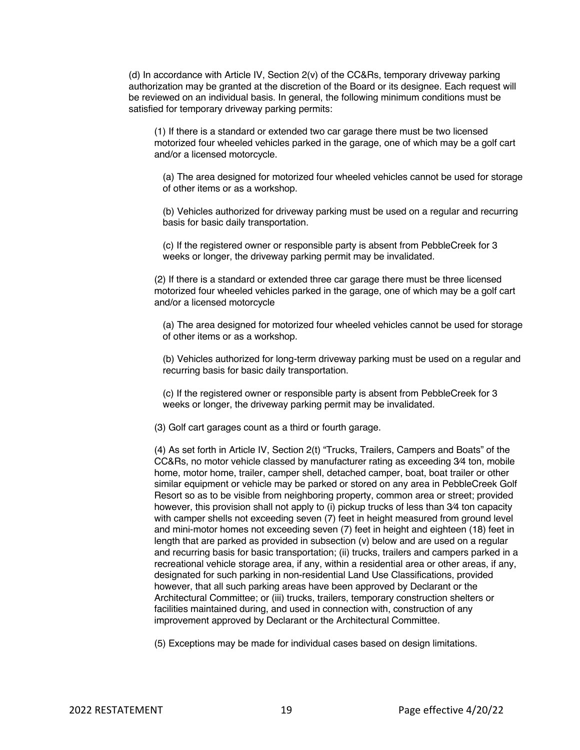(d) In accordance with Article IV, Section 2(v) of the CC&Rs, temporary driveway parking authorization may be granted at the discretion of the Board or its designee. Each request will be reviewed on an individual basis. In general, the following minimum conditions must be satisfied for temporary driveway parking permits:

(1) If there is a standard or extended two car garage there must be two licensed motorized four wheeled vehicles parked in the garage, one of which may be a golf cart and/or a licensed motorcycle.

(a) The area designed for motorized four wheeled vehicles cannot be used for storage of other items or as a workshop.

(b) Vehicles authorized for driveway parking must be used on a regular and recurring basis for basic daily transportation.

(c) If the registered owner or responsible party is absent from PebbleCreek for 3 weeks or longer, the driveway parking permit may be invalidated.

(2) If there is a standard or extended three car garage there must be three licensed motorized four wheeled vehicles parked in the garage, one of which may be a golf cart and/or a licensed motorcycle

(a) The area designed for motorized four wheeled vehicles cannot be used for storage of other items or as a workshop.

(b) Vehicles authorized for long-term driveway parking must be used on a regular and recurring basis for basic daily transportation.

(c) If the registered owner or responsible party is absent from PebbleCreek for 3 weeks or longer, the driveway parking permit may be invalidated.

(3) Golf cart garages count as a third or fourth garage.

(4) As set forth in Article IV, Section 2(t) "Trucks, Trailers, Campers and Boats" of the CC&Rs, no motor vehicle classed by manufacturer rating as exceeding 3⁄4 ton, mobile home, motor home, trailer, camper shell, detached camper, boat, boat trailer or other similar equipment or vehicle may be parked or stored on any area in PebbleCreek Golf Resort so as to be visible from neighboring property, common area or street; provided however, this provision shall not apply to (i) pickup trucks of less than 3⁄4 ton capacity with camper shells not exceeding seven (7) feet in height measured from ground level and mini-motor homes not exceeding seven (7) feet in height and eighteen (18) feet in length that are parked as provided in subsection (v) below and are used on a regular and recurring basis for basic transportation; (ii) trucks, trailers and campers parked in a recreational vehicle storage area, if any, within a residential area or other areas, if any, designated for such parking in non-residential Land Use Classifications, provided however, that all such parking areas have been approved by Declarant or the Architectural Committee; or (iii) trucks, trailers, temporary construction shelters or facilities maintained during, and used in connection with, construction of any improvement approved by Declarant or the Architectural Committee.

(5) Exceptions may be made for individual cases based on design limitations.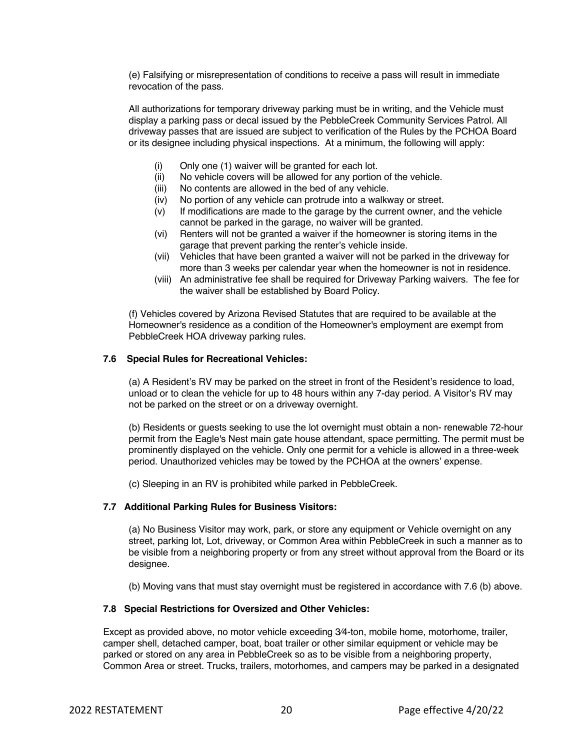(e) Falsifying or misrepresentation of conditions to receive a pass will result in immediate revocation of the pass.

All authorizations for temporary driveway parking must be in writing, and the Vehicle must display a parking pass or decal issued by the PebbleCreek Community Services Patrol. All driveway passes that are issued are subject to verification of the Rules by the PCHOA Board or its designee including physical inspections. At a minimum, the following will apply:

- (i) Only one (1) waiver will be granted for each lot.
- (ii) No vehicle covers will be allowed for any portion of the vehicle.
- (iii) No contents are allowed in the bed of any vehicle.
- (iv) No portion of any vehicle can protrude into a walkway or street.
- (v) If modifications are made to the garage by the current owner, and the vehicle cannot be parked in the garage, no waiver will be granted.
- (vi) Renters will not be granted a waiver if the homeowner is storing items in the garage that prevent parking the renter's vehicle inside.
- (vii) Vehicles that have been granted a waiver will not be parked in the driveway for more than 3 weeks per calendar year when the homeowner is not in residence.
- (viii) An administrative fee shall be required for Driveway Parking waivers. The fee for the waiver shall be established by Board Policy.

(f) Vehicles covered by Arizona Revised Statutes that are required to be available at the Homeowner's residence as a condition of the Homeowner's employment are exempt from PebbleCreek HOA driveway parking rules.

## **7.6 Special Rules for Recreational Vehicles:**

(a) A Resident's RV may be parked on the street in front of the Resident's residence to load, unload or to clean the vehicle for up to 48 hours within any 7-day period. A Visitor's RV may not be parked on the street or on a driveway overnight.

(b) Residents or guests seeking to use the lot overnight must obtain a non- renewable 72-hour permit from the Eagle's Nest main gate house attendant, space permitting. The permit must be prominently displayed on the vehicle. Only one permit for a vehicle is allowed in a three-week period. Unauthorized vehicles may be towed by the PCHOA at the owners' expense.

(c) Sleeping in an RV is prohibited while parked in PebbleCreek.

#### **7.7 Additional Parking Rules for Business Visitors:**

(a) No Business Visitor may work, park, or store any equipment or Vehicle overnight on any street, parking lot, Lot, driveway, or Common Area within PebbleCreek in such a manner as to be visible from a neighboring property or from any street without approval from the Board or its designee.

(b) Moving vans that must stay overnight must be registered in accordance with 7.6 (b) above.

## **7.8 Special Restrictions for Oversized and Other Vehicles:**

Except as provided above, no motor vehicle exceeding 3⁄4-ton, mobile home, motorhome, trailer, camper shell, detached camper, boat, boat trailer or other similar equipment or vehicle may be parked or stored on any area in PebbleCreek so as to be visible from a neighboring property, Common Area or street. Trucks, trailers, motorhomes, and campers may be parked in a designated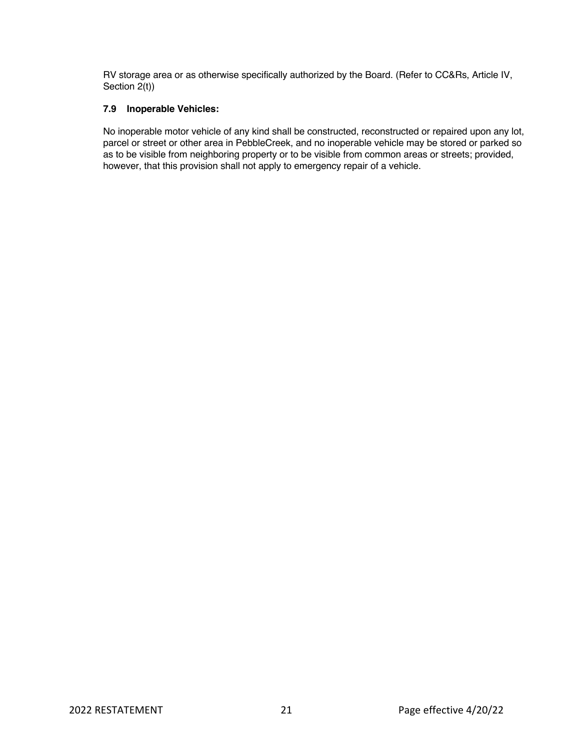RV storage area or as otherwise specifically authorized by the Board. (Refer to CC&Rs, Article IV, Section 2(t))

# **7.9 Inoperable Vehicles:**

No inoperable motor vehicle of any kind shall be constructed, reconstructed or repaired upon any lot, parcel or street or other area in PebbleCreek, and no inoperable vehicle may be stored or parked so as to be visible from neighboring property or to be visible from common areas or streets; provided, however, that this provision shall not apply to emergency repair of a vehicle.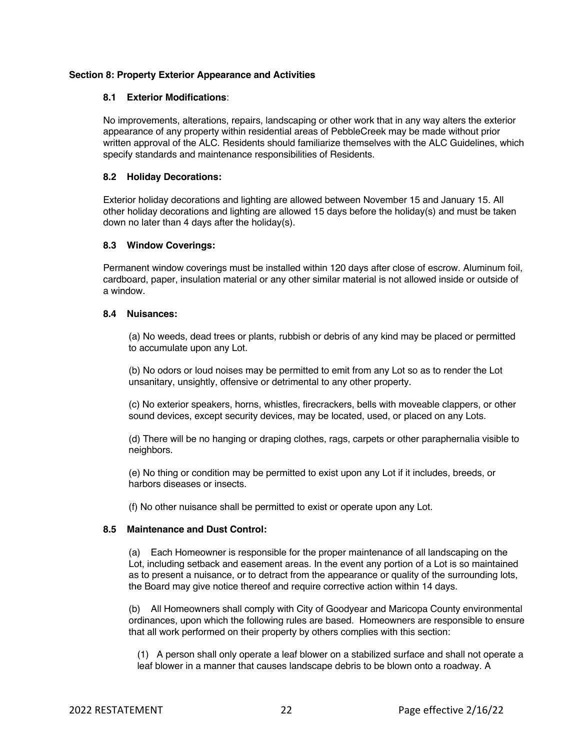## **Section 8: Property Exterior Appearance and Activities**

#### **8.1 Exterior Modifications**:

No improvements, alterations, repairs, landscaping or other work that in any way alters the exterior appearance of any property within residential areas of PebbleCreek may be made without prior written approval of the ALC. Residents should familiarize themselves with the ALC Guidelines, which specify standards and maintenance responsibilities of Residents.

## **8.2 Holiday Decorations:**

Exterior holiday decorations and lighting are allowed between November 15 and January 15. All other holiday decorations and lighting are allowed 15 days before the holiday(s) and must be taken down no later than 4 days after the holiday(s).

## **8.3 Window Coverings:**

Permanent window coverings must be installed within 120 days after close of escrow. Aluminum foil, cardboard, paper, insulation material or any other similar material is not allowed inside or outside of a window.

#### **8.4 Nuisances:**

(a) No weeds, dead trees or plants, rubbish or debris of any kind may be placed or permitted to accumulate upon any Lot.

(b) No odors or loud noises may be permitted to emit from any Lot so as to render the Lot unsanitary, unsightly, offensive or detrimental to any other property.

(c) No exterior speakers, horns, whistles, firecrackers, bells with moveable clappers, or other sound devices, except security devices, may be located, used, or placed on any Lots.

(d) There will be no hanging or draping clothes, rags, carpets or other paraphernalia visible to neighbors.

(e) No thing or condition may be permitted to exist upon any Lot if it includes, breeds, or harbors diseases or insects.

(f) No other nuisance shall be permitted to exist or operate upon any Lot.

# **8.5 Maintenance and Dust Control:**

(a) Each Homeowner is responsible for the proper maintenance of all landscaping on the Lot, including setback and easement areas. In the event any portion of a Lot is so maintained as to present a nuisance, or to detract from the appearance or quality of the surrounding lots, the Board may give notice thereof and require corrective action within 14 days.

(b) All Homeowners shall comply with City of Goodyear and Maricopa County environmental ordinances, upon which the following rules are based. Homeowners are responsible to ensure that all work performed on their property by others complies with this section:

(1) A person shall only operate a leaf blower on a stabilized surface and shall not operate a leaf blower in a manner that causes landscape debris to be blown onto a roadway. A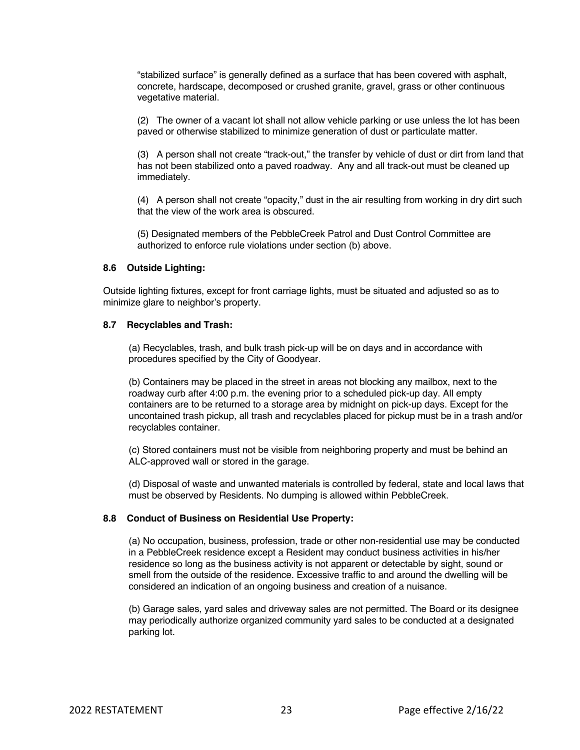"stabilized surface" is generally defined as a surface that has been covered with asphalt, concrete, hardscape, decomposed or crushed granite, gravel, grass or other continuous vegetative material.

(2) The owner of a vacant lot shall not allow vehicle parking or use unless the lot has been paved or otherwise stabilized to minimize generation of dust or particulate matter.

(3) A person shall not create "track-out," the transfer by vehicle of dust or dirt from land that has not been stabilized onto a paved roadway. Any and all track-out must be cleaned up immediately.

(4) A person shall not create "opacity," dust in the air resulting from working in dry dirt such that the view of the work area is obscured.

(5) Designated members of the PebbleCreek Patrol and Dust Control Committee are authorized to enforce rule violations under section (b) above.

#### **8.6 Outside Lighting:**

Outside lighting fixtures, except for front carriage lights, must be situated and adjusted so as to minimize glare to neighbor's property.

#### **8.7 Recyclables and Trash:**

(a) Recyclables, trash, and bulk trash pick-up will be on days and in accordance with procedures specified by the City of Goodyear.

(b) Containers may be placed in the street in areas not blocking any mailbox, next to the roadway curb after 4:00 p.m. the evening prior to a scheduled pick-up day. All empty containers are to be returned to a storage area by midnight on pick-up days. Except for the uncontained trash pickup, all trash and recyclables placed for pickup must be in a trash and/or recyclables container.

(c) Stored containers must not be visible from neighboring property and must be behind an ALC-approved wall or stored in the garage.

(d) Disposal of waste and unwanted materials is controlled by federal, state and local laws that must be observed by Residents. No dumping is allowed within PebbleCreek.

#### **8.8 Conduct of Business on Residential Use Property:**

(a) No occupation, business, profession, trade or other non-residential use may be conducted in a PebbleCreek residence except a Resident may conduct business activities in his/her residence so long as the business activity is not apparent or detectable by sight, sound or smell from the outside of the residence. Excessive traffic to and around the dwelling will be considered an indication of an ongoing business and creation of a nuisance.

(b) Garage sales, yard sales and driveway sales are not permitted. The Board or its designee may periodically authorize organized community yard sales to be conducted at a designated parking lot.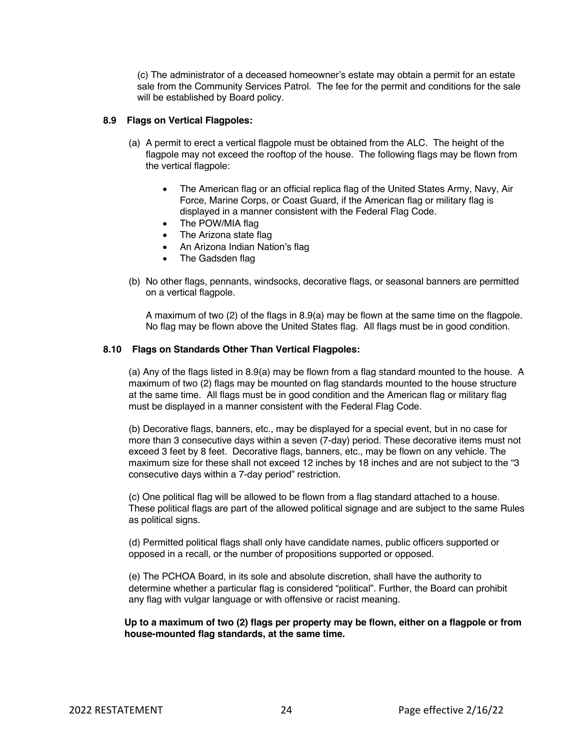(c) The administrator of a deceased homeowner's estate may obtain a permit for an estate sale from the Community Services Patrol. The fee for the permit and conditions for the sale will be established by Board policy.

#### **8.9 Flags on Vertical Flagpoles:**

- (a) A permit to erect a vertical flagpole must be obtained from the ALC. The height of the flagpole may not exceed the rooftop of the house. The following flags may be flown from the vertical flagpole:
	- The American flag or an official replica flag of the United States Army, Navy, Air Force, Marine Corps, or Coast Guard, if the American flag or military flag is displayed in a manner consistent with the Federal Flag Code.
	- The POW/MIA flag
	- The Arizona state flag
	- An Arizona Indian Nation's flag
	- The Gadsden flag
- (b) No other flags, pennants, windsocks, decorative flags, or seasonal banners are permitted on a vertical flagpole.

A maximum of two (2) of the flags in 8.9(a) may be flown at the same time on the flagpole. No flag may be flown above the United States flag. All flags must be in good condition.

#### **8.10 Flags on Standards Other Than Vertical Flagpoles:**

(a) Any of the flags listed in 8.9(a) may be flown from a flag standard mounted to the house. A maximum of two (2) flags may be mounted on flag standards mounted to the house structure at the same time. All flags must be in good condition and the American flag or military flag must be displayed in a manner consistent with the Federal Flag Code.

(b) Decorative flags, banners, etc., may be displayed for a special event, but in no case for more than 3 consecutive days within a seven (7-day) period. These decorative items must not exceed 3 feet by 8 feet. Decorative flags, banners, etc., may be flown on any vehicle. The maximum size for these shall not exceed 12 inches by 18 inches and are not subject to the "3 consecutive days within a 7-day period" restriction.

(c) One political flag will be allowed to be flown from a flag standard attached to a house. These political flags are part of the allowed political signage and are subject to the same Rules as political signs.

(d) Permitted political flags shall only have candidate names, public officers supported or opposed in a recall, or the number of propositions supported or opposed.

(e) The PCHOA Board, in its sole and absolute discretion, shall have the authority to determine whether a particular flag is considered "political". Further, the Board can prohibit any flag with vulgar language or with offensive or racist meaning.

**Up to a maximum of two (2) flags per property may be flown, either on a flagpole or from house-mounted flag standards, at the same time.**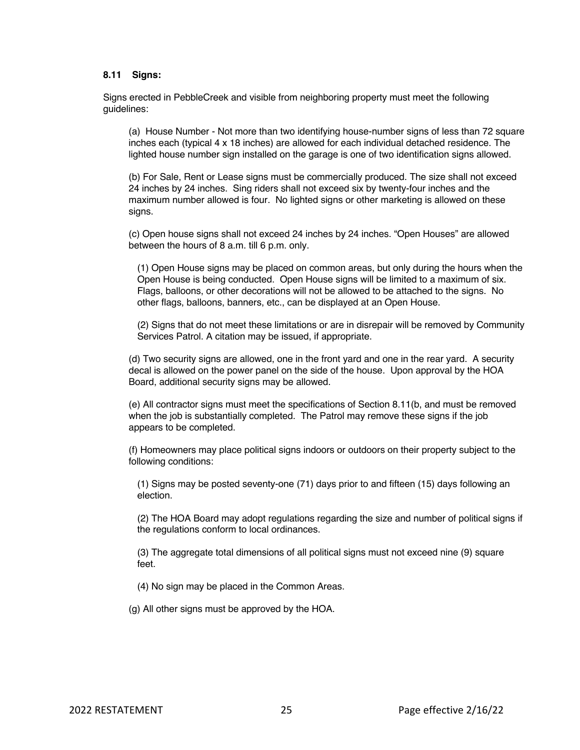# **8.11 Signs:**

Signs erected in PebbleCreek and visible from neighboring property must meet the following guidelines:

(a) House Number - Not more than two identifying house-number signs of less than 72 square inches each (typical 4 x 18 inches) are allowed for each individual detached residence. The lighted house number sign installed on the garage is one of two identification signs allowed.

(b) For Sale, Rent or Lease signs must be commercially produced. The size shall not exceed 24 inches by 24 inches. Sing riders shall not exceed six by twenty-four inches and the maximum number allowed is four. No lighted signs or other marketing is allowed on these signs.

(c) Open house signs shall not exceed 24 inches by 24 inches. "Open Houses" are allowed between the hours of 8 a.m. till 6 p.m. only.

(1) Open House signs may be placed on common areas, but only during the hours when the Open House is being conducted. Open House signs will be limited to a maximum of six. Flags, balloons, or other decorations will not be allowed to be attached to the signs. No other flags, balloons, banners, etc., can be displayed at an Open House.

(2) Signs that do not meet these limitations or are in disrepair will be removed by Community Services Patrol. A citation may be issued, if appropriate.

(d) Two security signs are allowed, one in the front yard and one in the rear yard. A security decal is allowed on the power panel on the side of the house. Upon approval by the HOA Board, additional security signs may be allowed.

(e) All contractor signs must meet the specifications of Section 8.11(b, and must be removed when the job is substantially completed. The Patrol may remove these signs if the job appears to be completed.

(f) Homeowners may place political signs indoors or outdoors on their property subject to the following conditions:

(1) Signs may be posted seventy-one (71) days prior to and fifteen (15) days following an election.

(2) The HOA Board may adopt regulations regarding the size and number of political signs if the regulations conform to local ordinances.

(3) The aggregate total dimensions of all political signs must not exceed nine (9) square feet.

(4) No sign may be placed in the Common Areas.

(g) All other signs must be approved by the HOA.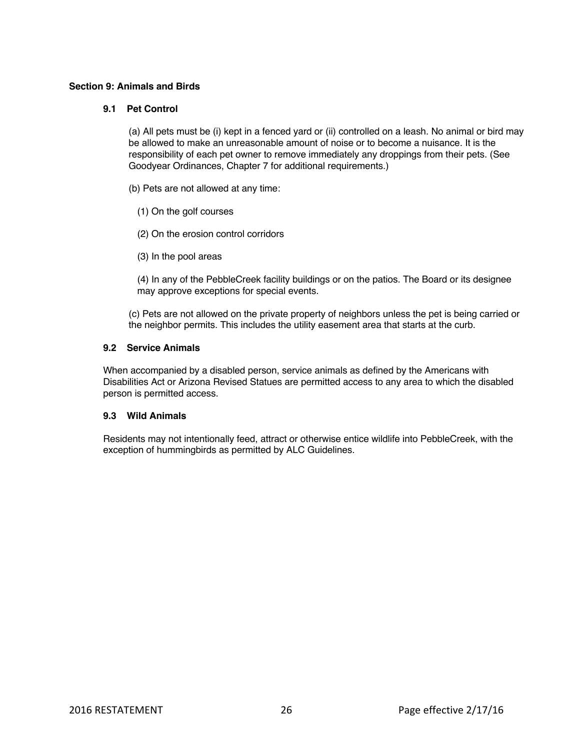## **Section 9: Animals and Birds**

## **9.1 Pet Control**

(a) All pets must be (i) kept in a fenced yard or (ii) controlled on a leash. No animal or bird may be allowed to make an unreasonable amount of noise or to become a nuisance. It is the responsibility of each pet owner to remove immediately any droppings from their pets. (See Goodyear Ordinances, Chapter 7 for additional requirements.)

- (b) Pets are not allowed at any time:
	- (1) On the golf courses
	- (2) On the erosion control corridors
	- (3) In the pool areas

(4) In any of the PebbleCreek facility buildings or on the patios. The Board or its designee may approve exceptions for special events.

(c) Pets are not allowed on the private property of neighbors unless the pet is being carried or the neighbor permits. This includes the utility easement area that starts at the curb.

#### **9.2 Service Animals**

When accompanied by a disabled person, service animals as defined by the Americans with Disabilities Act or Arizona Revised Statues are permitted access to any area to which the disabled person is permitted access.

#### **9.3 Wild Animals**

Residents may not intentionally feed, attract or otherwise entice wildlife into PebbleCreek, with the exception of hummingbirds as permitted by ALC Guidelines.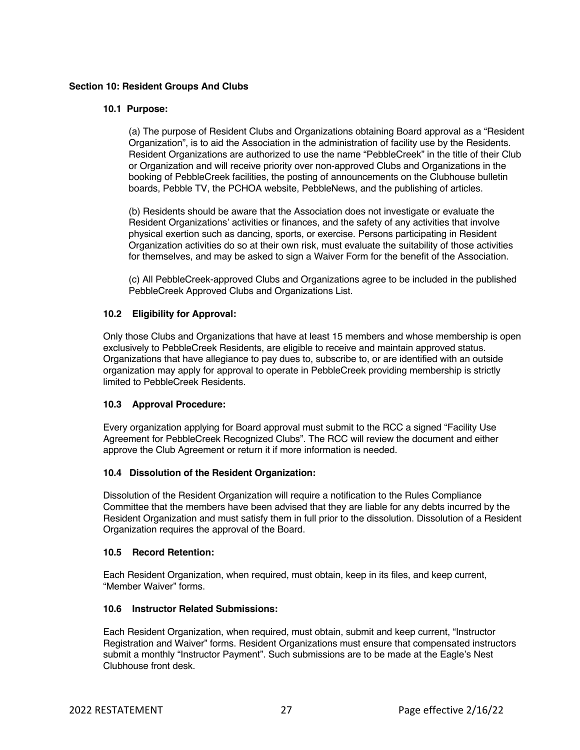# **Section 10: Resident Groups And Clubs**

#### **10.1 Purpose:**

(a) The purpose of Resident Clubs and Organizations obtaining Board approval as a "Resident Organization", is to aid the Association in the administration of facility use by the Residents. Resident Organizations are authorized to use the name "PebbleCreek" in the title of their Club or Organization and will receive priority over non-approved Clubs and Organizations in the booking of PebbleCreek facilities, the posting of announcements on the Clubhouse bulletin boards, Pebble TV, the PCHOA website, PebbleNews, and the publishing of articles.

(b) Residents should be aware that the Association does not investigate or evaluate the Resident Organizations' activities or finances, and the safety of any activities that involve physical exertion such as dancing, sports, or exercise. Persons participating in Resident Organization activities do so at their own risk, must evaluate the suitability of those activities for themselves, and may be asked to sign a Waiver Form for the benefit of the Association.

(c) All PebbleCreek-approved Clubs and Organizations agree to be included in the published PebbleCreek Approved Clubs and Organizations List.

# **10.2 Eligibility for Approval:**

Only those Clubs and Organizations that have at least 15 members and whose membership is open exclusively to PebbleCreek Residents, are eligible to receive and maintain approved status. Organizations that have allegiance to pay dues to, subscribe to, or are identified with an outside organization may apply for approval to operate in PebbleCreek providing membership is strictly limited to PebbleCreek Residents.

# **10.3 Approval Procedure:**

Every organization applying for Board approval must submit to the RCC a signed "Facility Use Agreement for PebbleCreek Recognized Clubs". The RCC will review the document and either approve the Club Agreement or return it if more information is needed.

# **10.4 Dissolution of the Resident Organization:**

Dissolution of the Resident Organization will require a notification to the Rules Compliance Committee that the members have been advised that they are liable for any debts incurred by the Resident Organization and must satisfy them in full prior to the dissolution. Dissolution of a Resident Organization requires the approval of the Board.

#### **10.5 Record Retention:**

Each Resident Organization, when required, must obtain, keep in its files, and keep current, "Member Waiver" forms.

## **10.6 Instructor Related Submissions:**

Each Resident Organization, when required, must obtain, submit and keep current, "Instructor Registration and Waiver" forms. Resident Organizations must ensure that compensated instructors submit a monthly "Instructor Payment". Such submissions are to be made at the Eagle's Nest Clubhouse front desk.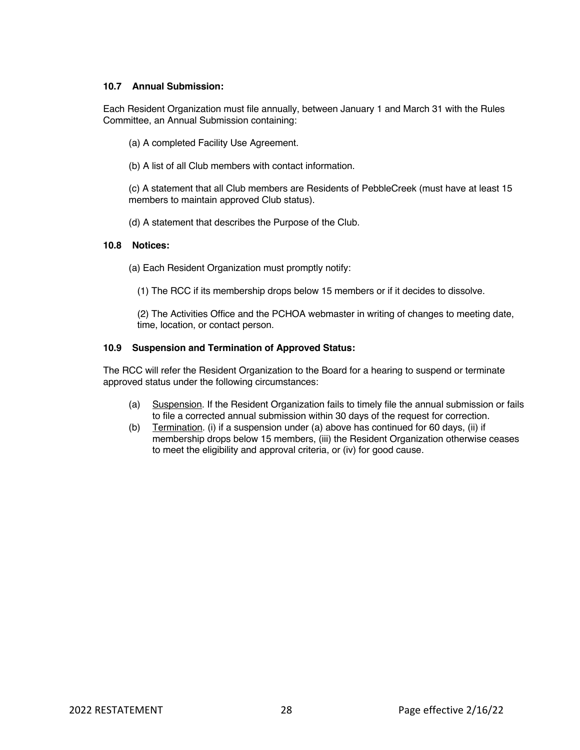## **10.7 Annual Submission:**

Each Resident Organization must file annually, between January 1 and March 31 with the Rules Committee, an Annual Submission containing:

- (a) A completed Facility Use Agreement.
- (b) A list of all Club members with contact information.

(c) A statement that all Club members are Residents of PebbleCreek (must have at least 15 members to maintain approved Club status).

(d) A statement that describes the Purpose of the Club.

#### **10.8 Notices:**

- (a) Each Resident Organization must promptly notify:
	- (1) The RCC if its membership drops below 15 members or if it decides to dissolve.

(2) The Activities Office and the PCHOA webmaster in writing of changes to meeting date, time, location, or contact person.

## **10.9 Suspension and Termination of Approved Status:**

The RCC will refer the Resident Organization to the Board for a hearing to suspend or terminate approved status under the following circumstances:

- (a) Suspension. If the Resident Organization fails to timely file the annual submission or fails to file a corrected annual submission within 30 days of the request for correction.
- (b) Termination. (i) if a suspension under (a) above has continued for 60 days, (ii) if membership drops below 15 members, (iii) the Resident Organization otherwise ceases to meet the eligibility and approval criteria, or (iv) for good cause.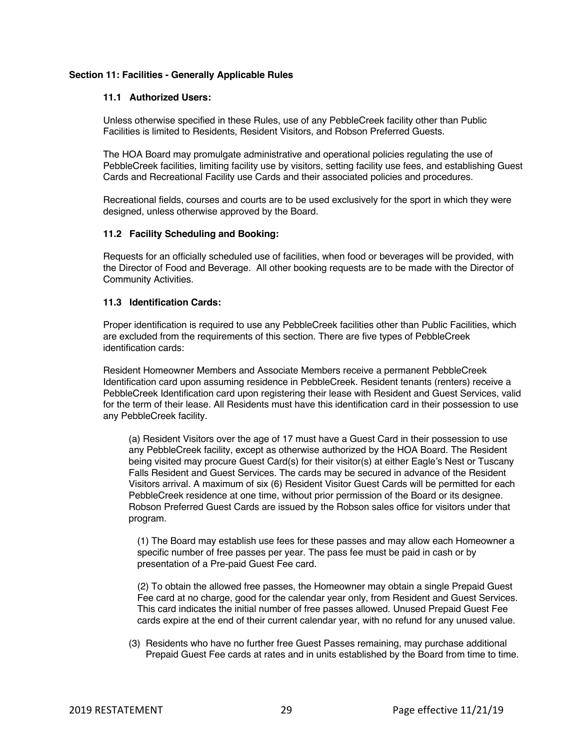## **Section 11: Facilities - Generally Applicable Rules**

#### **11.1 Authorized Users:**

Unless otherwise specified in these Rules, use of any PebbleCreek facility other than Public Facilities is limited to Residents, Resident Visitors, and Robson Preferred Guests.

The HOA Board may promulgate administrative and operational policies regulating the use of PebbleCreek facilities, limiting facility use by visitors, setting facility use fees, and establishing Guest Cards and Recreational Facility use Cards and their associated policies and procedures.

Recreational fields, courses and courts are to be used exclusively for the sport in which they were designed, unless otherwise approved by the Board.

## **11.2 Facility Scheduling and Booking:**

Requests for an officially scheduled use of facilities, when food or beverages will be provided, with the Director of Food and Beverage. All other booking requests are to be made with the Director of Community Activities.

## **11.3 Identification Cards:**

Proper identification is required to use any PebbleCreek facilities other than Public Facilities, which are excluded from the requirements of this section. There are five types of PebbleCreek identification cards:

Resident Homeowner Members and Associate Members receive a permanent PebbleCreek Identification card upon assuming residence in PebbleCreek. Resident tenants (renters) receive a PebbleCreek Identification card upon registering their lease with Resident and Guest Services, valid for the term of their lease. All Residents must have this identification card in their possession to use any PebbleCreek facility.

(a) Resident Visitors over the age of 17 must have a Guest Card in their possession to use any PebbleCreek facility, except as otherwise authorized by the HOA Board. The Resident being visited may procure Guest Card(s) for their visitor(s) at either Eagle's Nest or Tuscany Falls Resident and Guest Services. The cards may be secured in advance of the Resident Visitors arrival. A maximum of six (6) Resident Visitor Guest Cards will be permitted for each PebbleCreek residence at one time, without prior permission of the Board or its designee. Robson Preferred Guest Cards are issued by the Robson sales office for visitors under that program.

(1) The Board may establish use fees for these passes and may allow each Homeowner a specific number of free passes per year. The pass fee must be paid in cash or by presentation of a Pre-paid Guest Fee card.

(2) To obtain the allowed free passes, the Homeowner may obtain a single Prepaid Guest Fee card at no charge, good for the calendar year only, from Resident and Guest Services. This card indicates the initial number of free passes allowed. Unused Prepaid Guest Fee cards expire at the end of their current calendar year, with no refund for any unused value.

(3) Residents who have no further free Guest Passes remaining, may purchase additional Prepaid Guest Fee cards at rates and in units established by the Board from time to time.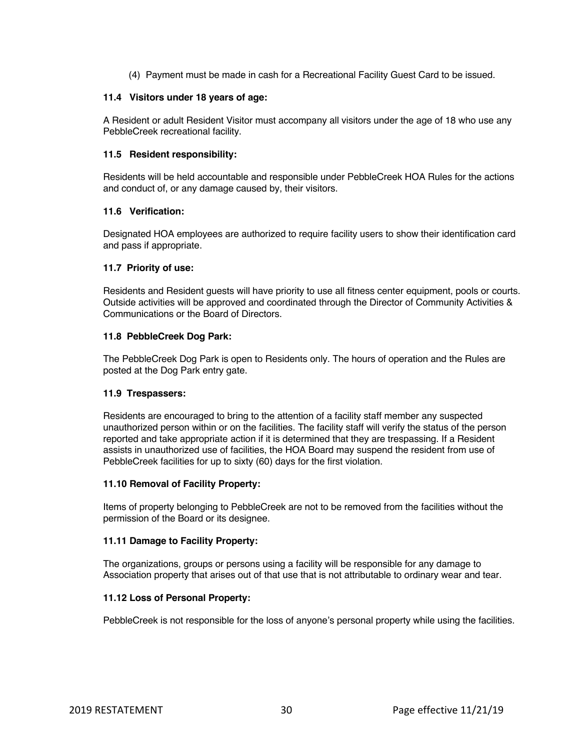(4) Payment must be made in cash for a Recreational Facility Guest Card to be issued.

#### **11.4 Visitors under 18 years of age:**

A Resident or adult Resident Visitor must accompany all visitors under the age of 18 who use any PebbleCreek recreational facility.

#### **11.5 Resident responsibility:**

Residents will be held accountable and responsible under PebbleCreek HOA Rules for the actions and conduct of, or any damage caused by, their visitors.

## **11.6 Verification:**

Designated HOA employees are authorized to require facility users to show their identification card and pass if appropriate.

## **11.7 Priority of use:**

Residents and Resident guests will have priority to use all fitness center equipment, pools or courts. Outside activities will be approved and coordinated through the Director of Community Activities & Communications or the Board of Directors.

## **11.8 PebbleCreek Dog Park:**

The PebbleCreek Dog Park is open to Residents only. The hours of operation and the Rules are posted at the Dog Park entry gate.

#### **11.9 Trespassers:**

Residents are encouraged to bring to the attention of a facility staff member any suspected unauthorized person within or on the facilities. The facility staff will verify the status of the person reported and take appropriate action if it is determined that they are trespassing. If a Resident assists in unauthorized use of facilities, the HOA Board may suspend the resident from use of PebbleCreek facilities for up to sixty (60) days for the first violation.

#### **11.10 Removal of Facility Property:**

Items of property belonging to PebbleCreek are not to be removed from the facilities without the permission of the Board or its designee.

#### **11.11 Damage to Facility Property:**

The organizations, groups or persons using a facility will be responsible for any damage to Association property that arises out of that use that is not attributable to ordinary wear and tear.

#### **11.12 Loss of Personal Property:**

PebbleCreek is not responsible for the loss of anyone's personal property while using the facilities.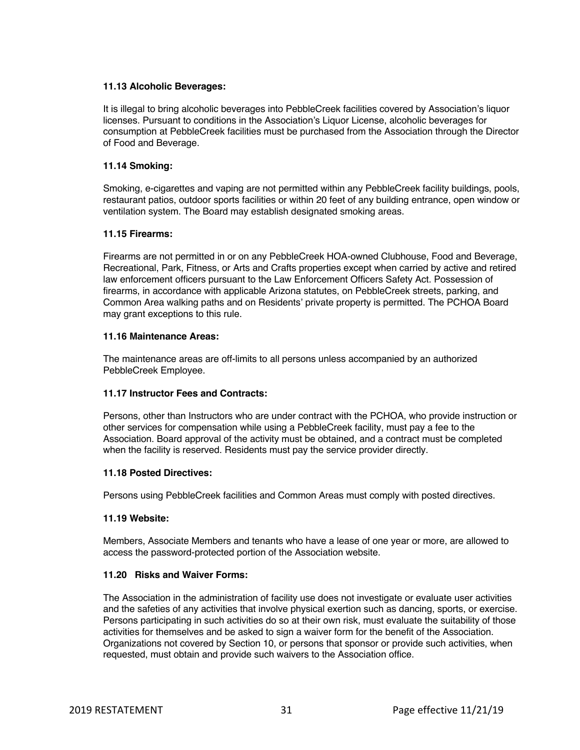## **11.13 Alcoholic Beverages:**

It is illegal to bring alcoholic beverages into PebbleCreek facilities covered by Association's liquor licenses. Pursuant to conditions in the Association's Liquor License, alcoholic beverages for consumption at PebbleCreek facilities must be purchased from the Association through the Director of Food and Beverage.

## **11.14 Smoking:**

Smoking, e-cigarettes and vaping are not permitted within any PebbleCreek facility buildings, pools, restaurant patios, outdoor sports facilities or within 20 feet of any building entrance, open window or ventilation system. The Board may establish designated smoking areas.

## **11.15 Firearms:**

Firearms are not permitted in or on any PebbleCreek HOA-owned Clubhouse, Food and Beverage, Recreational, Park, Fitness, or Arts and Crafts properties except when carried by active and retired law enforcement officers pursuant to the Law Enforcement Officers Safety Act. Possession of firearms, in accordance with applicable Arizona statutes, on PebbleCreek streets, parking, and Common Area walking paths and on Residents' private property is permitted. The PCHOA Board may grant exceptions to this rule.

## **11.16 Maintenance Areas:**

The maintenance areas are off-limits to all persons unless accompanied by an authorized PebbleCreek Employee.

#### **11.17 Instructor Fees and Contracts:**

Persons, other than Instructors who are under contract with the PCHOA, who provide instruction or other services for compensation while using a PebbleCreek facility, must pay a fee to the Association. Board approval of the activity must be obtained, and a contract must be completed when the facility is reserved. Residents must pay the service provider directly.

#### **11.18 Posted Directives:**

Persons using PebbleCreek facilities and Common Areas must comply with posted directives.

# **11.19 Website:**

Members, Associate Members and tenants who have a lease of one year or more, are allowed to access the password-protected portion of the Association website.

# **11.20 Risks and Waiver Forms:**

The Association in the administration of facility use does not investigate or evaluate user activities and the safeties of any activities that involve physical exertion such as dancing, sports, or exercise. Persons participating in such activities do so at their own risk, must evaluate the suitability of those activities for themselves and be asked to sign a waiver form for the benefit of the Association. Organizations not covered by Section 10, or persons that sponsor or provide such activities, when requested, must obtain and provide such waivers to the Association office.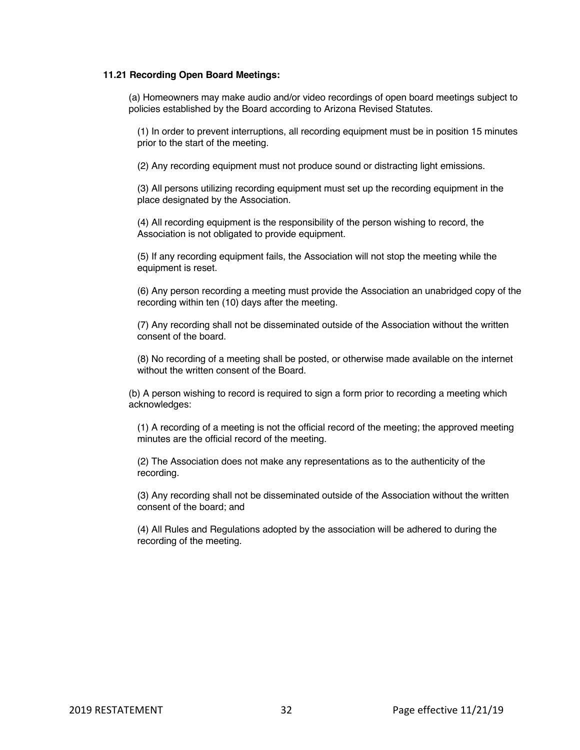#### **11.21 Recording Open Board Meetings:**

(a) Homeowners may make audio and/or video recordings of open board meetings subject to policies established by the Board according to Arizona Revised Statutes.

(1) In order to prevent interruptions, all recording equipment must be in position 15 minutes prior to the start of the meeting.

(2) Any recording equipment must not produce sound or distracting light emissions.

(3) All persons utilizing recording equipment must set up the recording equipment in the place designated by the Association.

(4) All recording equipment is the responsibility of the person wishing to record, the Association is not obligated to provide equipment.

(5) If any recording equipment fails, the Association will not stop the meeting while the equipment is reset.

(6) Any person recording a meeting must provide the Association an unabridged copy of the recording within ten (10) days after the meeting.

(7) Any recording shall not be disseminated outside of the Association without the written consent of the board.

(8) No recording of a meeting shall be posted, or otherwise made available on the internet without the written consent of the Board.

(b) A person wishing to record is required to sign a form prior to recording a meeting which acknowledges:

(1) A recording of a meeting is not the official record of the meeting; the approved meeting minutes are the official record of the meeting.

(2) The Association does not make any representations as to the authenticity of the recording.

(3) Any recording shall not be disseminated outside of the Association without the written consent of the board; and

(4) All Rules and Regulations adopted by the association will be adhered to during the recording of the meeting.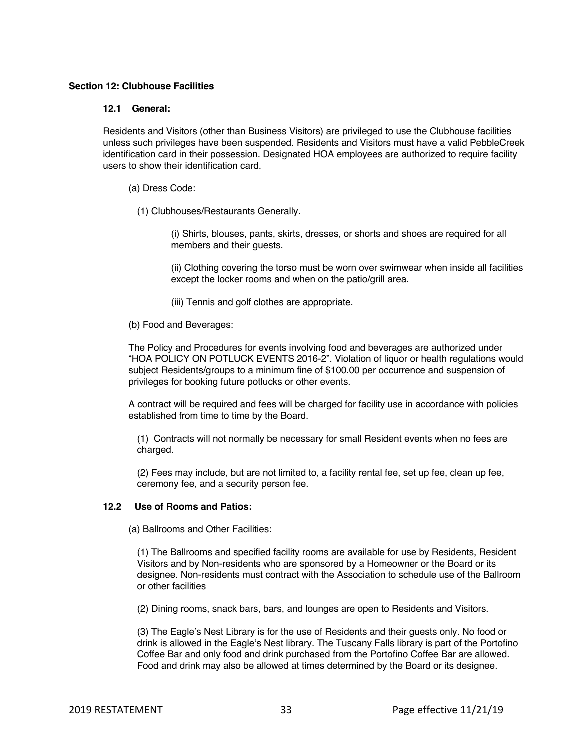## **Section 12: Clubhouse Facilities**

## **12.1 General:**

Residents and Visitors (other than Business Visitors) are privileged to use the Clubhouse facilities unless such privileges have been suspended. Residents and Visitors must have a valid PebbleCreek identification card in their possession. Designated HOA employees are authorized to require facility users to show their identification card.

- (a) Dress Code:
	- (1) Clubhouses/Restaurants Generally.

(i) Shirts, blouses, pants, skirts, dresses, or shorts and shoes are required for all members and their guests.

(ii) Clothing covering the torso must be worn over swimwear when inside all facilities except the locker rooms and when on the patio/grill area.

- (iii) Tennis and golf clothes are appropriate.
- (b) Food and Beverages:

The Policy and Procedures for events involving food and beverages are authorized under "HOA POLICY ON POTLUCK EVENTS 2016-2". Violation of liquor or health regulations would subject Residents/groups to a minimum fine of \$100.00 per occurrence and suspension of privileges for booking future potlucks or other events.

A contract will be required and fees will be charged for facility use in accordance with policies established from time to time by the Board.

(1) Contracts will not normally be necessary for small Resident events when no fees are charged.

(2) Fees may include, but are not limited to, a facility rental fee, set up fee, clean up fee, ceremony fee, and a security person fee.

## **12.2 Use of Rooms and Patios:**

(a) Ballrooms and Other Facilities:

(1) The Ballrooms and specified facility rooms are available for use by Residents, Resident Visitors and by Non-residents who are sponsored by a Homeowner or the Board or its designee. Non-residents must contract with the Association to schedule use of the Ballroom or other facilities

(2) Dining rooms, snack bars, bars, and lounges are open to Residents and Visitors.

(3) The Eagle's Nest Library is for the use of Residents and their guests only. No food or drink is allowed in the Eagle's Nest library. The Tuscany Falls library is part of the Portofino Coffee Bar and only food and drink purchased from the Portofino Coffee Bar are allowed. Food and drink may also be allowed at times determined by the Board or its designee.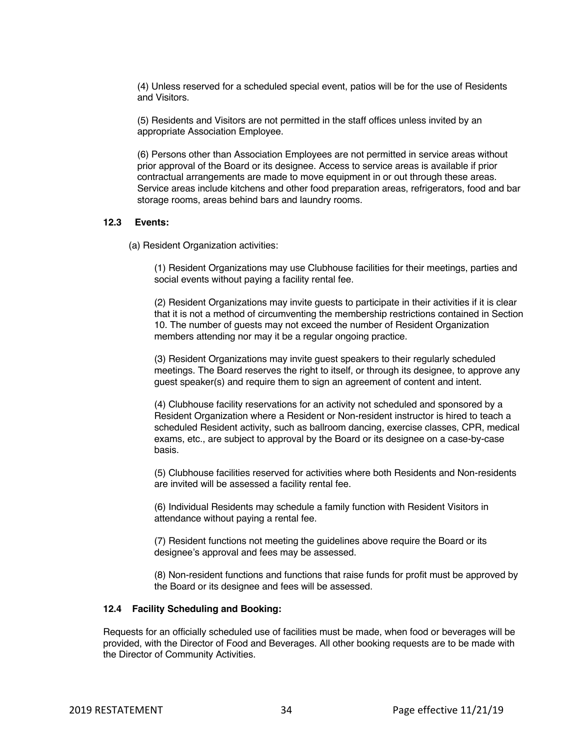(4) Unless reserved for a scheduled special event, patios will be for the use of Residents and Visitors.

(5) Residents and Visitors are not permitted in the staff offices unless invited by an appropriate Association Employee.

(6) Persons other than Association Employees are not permitted in service areas without prior approval of the Board or its designee. Access to service areas is available if prior contractual arrangements are made to move equipment in or out through these areas. Service areas include kitchens and other food preparation areas, refrigerators, food and bar storage rooms, areas behind bars and laundry rooms.

#### **12.3 Events:**

(a) Resident Organization activities:

(1) Resident Organizations may use Clubhouse facilities for their meetings, parties and social events without paying a facility rental fee.

(2) Resident Organizations may invite guests to participate in their activities if it is clear that it is not a method of circumventing the membership restrictions contained in Section 10. The number of guests may not exceed the number of Resident Organization members attending nor may it be a regular ongoing practice.

(3) Resident Organizations may invite guest speakers to their regularly scheduled meetings. The Board reserves the right to itself, or through its designee, to approve any guest speaker(s) and require them to sign an agreement of content and intent.

(4) Clubhouse facility reservations for an activity not scheduled and sponsored by a Resident Organization where a Resident or Non-resident instructor is hired to teach a scheduled Resident activity, such as ballroom dancing, exercise classes, CPR, medical exams, etc., are subject to approval by the Board or its designee on a case-by-case basis.

(5) Clubhouse facilities reserved for activities where both Residents and Non-residents are invited will be assessed a facility rental fee.

(6) Individual Residents may schedule a family function with Resident Visitors in attendance without paying a rental fee.

(7) Resident functions not meeting the guidelines above require the Board or its designee's approval and fees may be assessed.

(8) Non-resident functions and functions that raise funds for profit must be approved by the Board or its designee and fees will be assessed.

#### **12.4 Facility Scheduling and Booking:**

Requests for an officially scheduled use of facilities must be made, when food or beverages will be provided, with the Director of Food and Beverages. All other booking requests are to be made with the Director of Community Activities.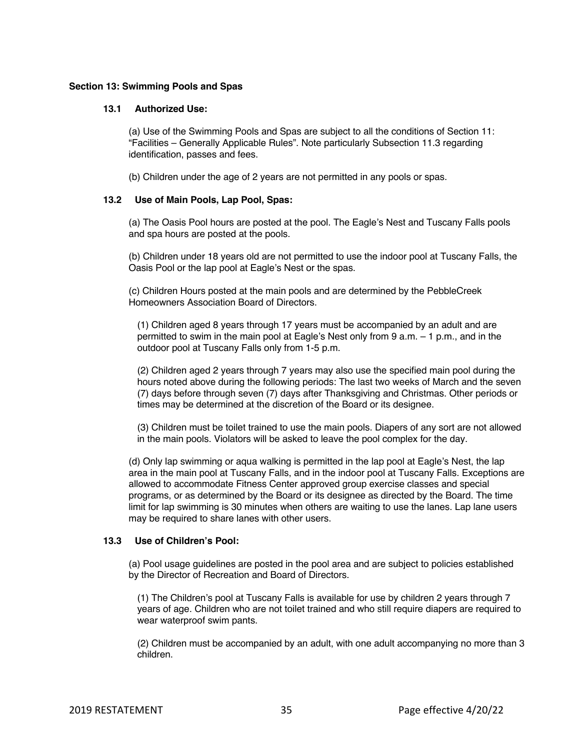#### **Section 13: Swimming Pools and Spas**

## **13.1 Authorized Use:**

(a) Use of the Swimming Pools and Spas are subject to all the conditions of Section 11: "Facilities – Generally Applicable Rules". Note particularly Subsection 11.3 regarding identification, passes and fees.

(b) Children under the age of 2 years are not permitted in any pools or spas.

#### **13.2 Use of Main Pools, Lap Pool, Spas:**

(a) The Oasis Pool hours are posted at the pool. The Eagle's Nest and Tuscany Falls pools and spa hours are posted at the pools.

(b) Children under 18 years old are not permitted to use the indoor pool at Tuscany Falls, the Oasis Pool or the lap pool at Eagle's Nest or the spas.

(c) Children Hours posted at the main pools and are determined by the PebbleCreek Homeowners Association Board of Directors.

(1) Children aged 8 years through 17 years must be accompanied by an adult and are permitted to swim in the main pool at Eagle's Nest only from 9 a.m. – 1 p.m., and in the outdoor pool at Tuscany Falls only from 1-5 p.m.

(2) Children aged 2 years through 7 years may also use the specified main pool during the hours noted above during the following periods: The last two weeks of March and the seven (7) days before through seven (7) days after Thanksgiving and Christmas. Other periods or times may be determined at the discretion of the Board or its designee.

(3) Children must be toilet trained to use the main pools. Diapers of any sort are not allowed in the main pools. Violators will be asked to leave the pool complex for the day.

(d) Only lap swimming or aqua walking is permitted in the lap pool at Eagle's Nest, the lap area in the main pool at Tuscany Falls, and in the indoor pool at Tuscany Falls. Exceptions are allowed to accommodate Fitness Center approved group exercise classes and special programs, or as determined by the Board or its designee as directed by the Board. The time limit for lap swimming is 30 minutes when others are waiting to use the lanes. Lap lane users may be required to share lanes with other users.

#### **13.3 Use of Children's Pool:**

(a) Pool usage guidelines are posted in the pool area and are subject to policies established by the Director of Recreation and Board of Directors.

(1) The Children's pool at Tuscany Falls is available for use by children 2 years through 7 years of age. Children who are not toilet trained and who still require diapers are required to wear waterproof swim pants.

(2) Children must be accompanied by an adult, with one adult accompanying no more than 3 children.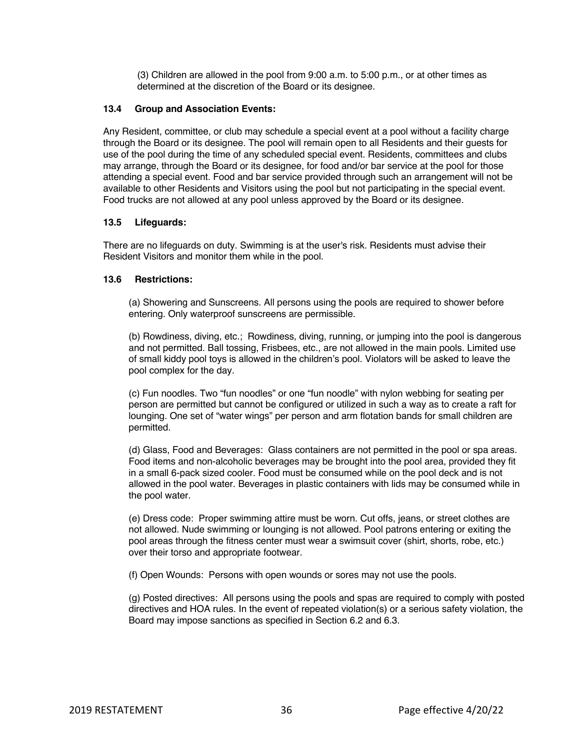(3) Children are allowed in the pool from 9:00 a.m. to 5:00 p.m., or at other times as determined at the discretion of the Board or its designee.

## **13.4 Group and Association Events:**

Any Resident, committee, or club may schedule a special event at a pool without a facility charge through the Board or its designee. The pool will remain open to all Residents and their guests for use of the pool during the time of any scheduled special event. Residents, committees and clubs may arrange, through the Board or its designee, for food and/or bar service at the pool for those attending a special event. Food and bar service provided through such an arrangement will not be available to other Residents and Visitors using the pool but not participating in the special event. Food trucks are not allowed at any pool unless approved by the Board or its designee.

#### **13.5 Lifeguards:**

There are no lifeguards on duty. Swimming is at the user's risk. Residents must advise their Resident Visitors and monitor them while in the pool.

#### **13.6 Restrictions:**

(a) Showering and Sunscreens. All persons using the pools are required to shower before entering. Only waterproof sunscreens are permissible.

(b) Rowdiness, diving, etc.; Rowdiness, diving, running, or jumping into the pool is dangerous and not permitted. Ball tossing, Frisbees, etc., are not allowed in the main pools. Limited use of small kiddy pool toys is allowed in the children's pool. Violators will be asked to leave the pool complex for the day.

(c) Fun noodles. Two "fun noodles" or one "fun noodle" with nylon webbing for seating per person are permitted but cannot be configured or utilized in such a way as to create a raft for lounging. One set of "water wings" per person and arm flotation bands for small children are permitted.

(d) Glass, Food and Beverages: Glass containers are not permitted in the pool or spa areas. Food items and non-alcoholic beverages may be brought into the pool area, provided they fit in a small 6-pack sized cooler. Food must be consumed while on the pool deck and is not allowed in the pool water. Beverages in plastic containers with lids may be consumed while in the pool water.

(e) Dress code: Proper swimming attire must be worn. Cut offs, jeans, or street clothes are not allowed. Nude swimming or lounging is not allowed. Pool patrons entering or exiting the pool areas through the fitness center must wear a swimsuit cover (shirt, shorts, robe, etc.) over their torso and appropriate footwear.

(f) Open Wounds: Persons with open wounds or sores may not use the pools.

(g) Posted directives: All persons using the pools and spas are required to comply with posted directives and HOA rules. In the event of repeated violation(s) or a serious safety violation, the Board may impose sanctions as specified in Section 6.2 and 6.3.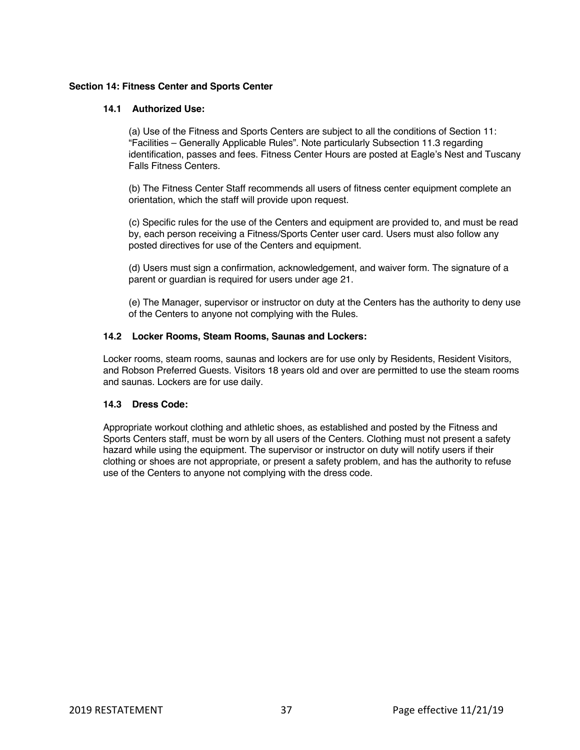## **Section 14: Fitness Center and Sports Center**

## **14.1 Authorized Use:**

(a) Use of the Fitness and Sports Centers are subject to all the conditions of Section 11: "Facilities – Generally Applicable Rules". Note particularly Subsection 11.3 regarding identification, passes and fees. Fitness Center Hours are posted at Eagle's Nest and Tuscany Falls Fitness Centers.

(b) The Fitness Center Staff recommends all users of fitness center equipment complete an orientation, which the staff will provide upon request.

(c) Specific rules for the use of the Centers and equipment are provided to, and must be read by, each person receiving a Fitness/Sports Center user card. Users must also follow any posted directives for use of the Centers and equipment.

(d) Users must sign a confirmation, acknowledgement, and waiver form. The signature of a parent or guardian is required for users under age 21.

(e) The Manager, supervisor or instructor on duty at the Centers has the authority to deny use of the Centers to anyone not complying with the Rules.

## **14.2 Locker Rooms, Steam Rooms, Saunas and Lockers:**

Locker rooms, steam rooms, saunas and lockers are for use only by Residents, Resident Visitors, and Robson Preferred Guests. Visitors 18 years old and over are permitted to use the steam rooms and saunas. Lockers are for use daily.

# **14.3 Dress Code:**

Appropriate workout clothing and athletic shoes, as established and posted by the Fitness and Sports Centers staff, must be worn by all users of the Centers. Clothing must not present a safety hazard while using the equipment. The supervisor or instructor on duty will notify users if their clothing or shoes are not appropriate, or present a safety problem, and has the authority to refuse use of the Centers to anyone not complying with the dress code.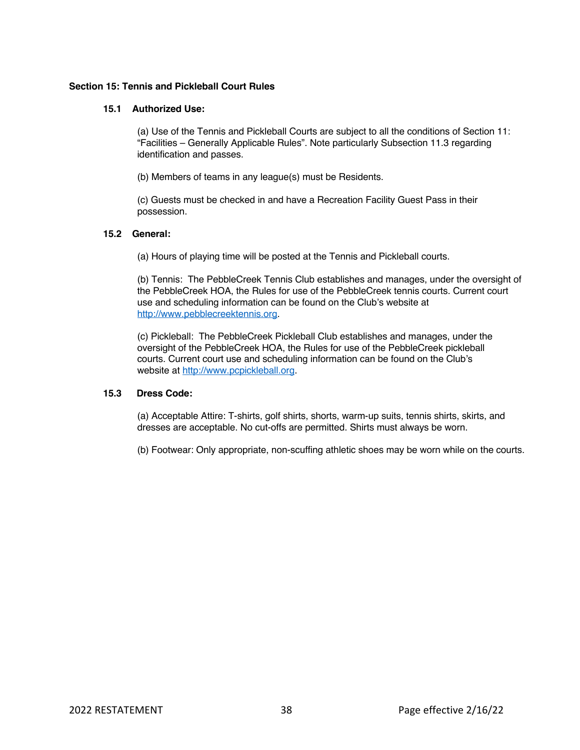#### **Section 15: Tennis and Pickleball Court Rules**

## **15.1 Authorized Use:**

(a) Use of the Tennis and Pickleball Courts are subject to all the conditions of Section 11: "Facilities – Generally Applicable Rules". Note particularly Subsection 11.3 regarding identification and passes.

(b) Members of teams in any league(s) must be Residents.

(c) Guests must be checked in and have a Recreation Facility Guest Pass in their possession.

## **15.2 General:**

(a) Hours of playing time will be posted at the Tennis and Pickleball courts.

(b) Tennis: The PebbleCreek Tennis Club establishes and manages, under the oversight of the PebbleCreek HOA, the Rules for use of the PebbleCreek tennis courts. Current court use and scheduling information can be found on the Club's website at http://www.pebblecreektennis.org.

(c) Pickleball: The PebbleCreek Pickleball Club establishes and manages, under the oversight of the PebbleCreek HOA, the Rules for use of the PebbleCreek pickleball courts. Current court use and scheduling information can be found on the Club's website at http://www.pcpickleball.org.

# **15.3 Dress Code:**

(a) Acceptable Attire: T-shirts, golf shirts, shorts, warm-up suits, tennis shirts, skirts, and dresses are acceptable. No cut-offs are permitted. Shirts must always be worn.

(b) Footwear: Only appropriate, non-scuffing athletic shoes may be worn while on the courts.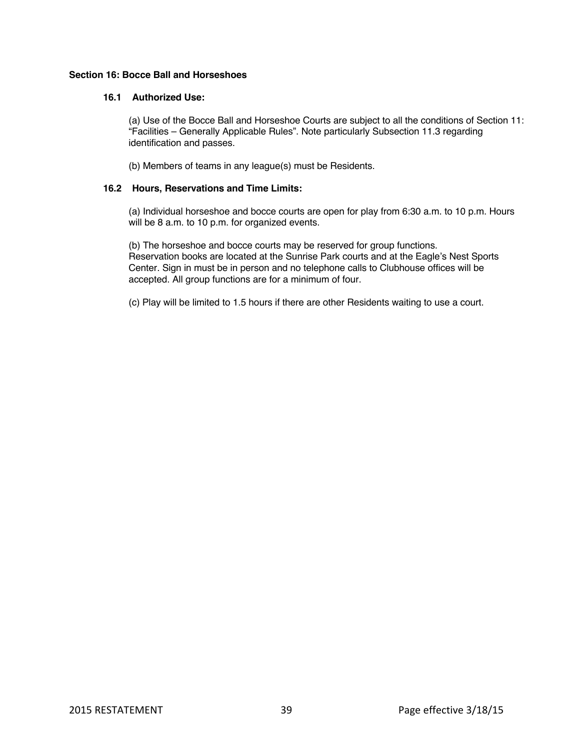## **Section 16: Bocce Ball and Horseshoes**

## **16.1 Authorized Use:**

(a) Use of the Bocce Ball and Horseshoe Courts are subject to all the conditions of Section 11: "Facilities – Generally Applicable Rules". Note particularly Subsection 11.3 regarding identification and passes.

(b) Members of teams in any league(s) must be Residents.

## **16.2 Hours, Reservations and Time Limits:**

(a) Individual horseshoe and bocce courts are open for play from 6:30 a.m. to 10 p.m. Hours will be 8 a.m. to 10 p.m. for organized events.

(b) The horseshoe and bocce courts may be reserved for group functions. Reservation books are located at the Sunrise Park courts and at the Eagle's Nest Sports Center. Sign in must be in person and no telephone calls to Clubhouse offices will be accepted. All group functions are for a minimum of four.

(c) Play will be limited to 1.5 hours if there are other Residents waiting to use a court.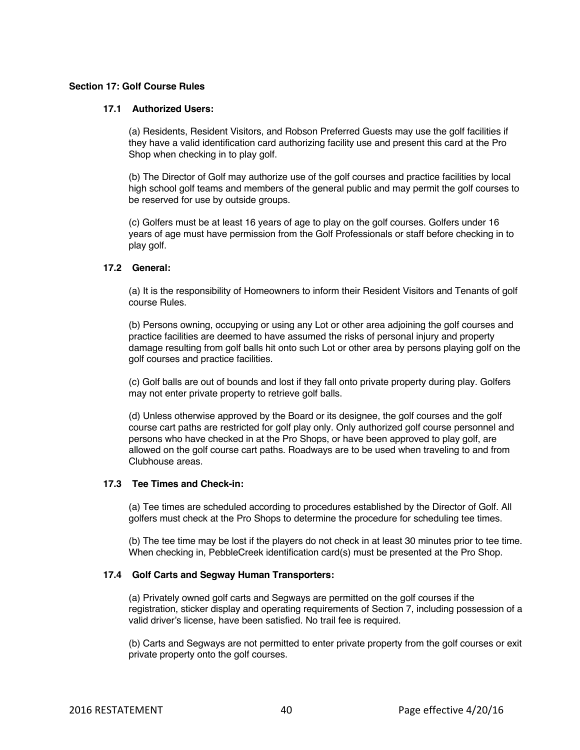## **Section 17: Golf Course Rules**

## **17.1 Authorized Users:**

(a) Residents, Resident Visitors, and Robson Preferred Guests may use the golf facilities if they have a valid identification card authorizing facility use and present this card at the Pro Shop when checking in to play golf.

(b) The Director of Golf may authorize use of the golf courses and practice facilities by local high school golf teams and members of the general public and may permit the golf courses to be reserved for use by outside groups.

(c) Golfers must be at least 16 years of age to play on the golf courses. Golfers under 16 years of age must have permission from the Golf Professionals or staff before checking in to play golf.

## **17.2 General:**

(a) It is the responsibility of Homeowners to inform their Resident Visitors and Tenants of golf course Rules.

(b) Persons owning, occupying or using any Lot or other area adjoining the golf courses and practice facilities are deemed to have assumed the risks of personal injury and property damage resulting from golf balls hit onto such Lot or other area by persons playing golf on the golf courses and practice facilities.

(c) Golf balls are out of bounds and lost if they fall onto private property during play. Golfers may not enter private property to retrieve golf balls.

(d) Unless otherwise approved by the Board or its designee, the golf courses and the golf course cart paths are restricted for golf play only. Only authorized golf course personnel and persons who have checked in at the Pro Shops, or have been approved to play golf, are allowed on the golf course cart paths. Roadways are to be used when traveling to and from Clubhouse areas.

# **17.3 Tee Times and Check-in:**

(a) Tee times are scheduled according to procedures established by the Director of Golf. All golfers must check at the Pro Shops to determine the procedure for scheduling tee times.

(b) The tee time may be lost if the players do not check in at least 30 minutes prior to tee time. When checking in, PebbleCreek identification card(s) must be presented at the Pro Shop.

# **17.4 Golf Carts and Segway Human Transporters:**

(a) Privately owned golf carts and Segways are permitted on the golf courses if the registration, sticker display and operating requirements of Section 7, including possession of a valid driver's license, have been satisfied. No trail fee is required.

(b) Carts and Segways are not permitted to enter private property from the golf courses or exit private property onto the golf courses.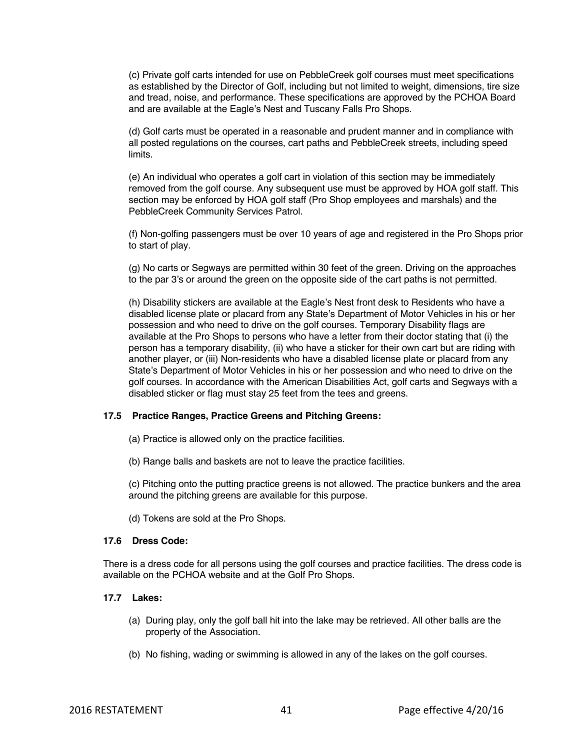(c) Private golf carts intended for use on PebbleCreek golf courses must meet specifications as established by the Director of Golf, including but not limited to weight, dimensions, tire size and tread, noise, and performance. These specifications are approved by the PCHOA Board and are available at the Eagle's Nest and Tuscany Falls Pro Shops.

(d) Golf carts must be operated in a reasonable and prudent manner and in compliance with all posted regulations on the courses, cart paths and PebbleCreek streets, including speed limits.

(e) An individual who operates a golf cart in violation of this section may be immediately removed from the golf course. Any subsequent use must be approved by HOA golf staff. This section may be enforced by HOA golf staff (Pro Shop employees and marshals) and the PebbleCreek Community Services Patrol.

(f) Non-golfing passengers must be over 10 years of age and registered in the Pro Shops prior to start of play.

(g) No carts or Segways are permitted within 30 feet of the green. Driving on the approaches to the par 3's or around the green on the opposite side of the cart paths is not permitted.

(h) Disability stickers are available at the Eagle's Nest front desk to Residents who have a disabled license plate or placard from any State's Department of Motor Vehicles in his or her possession and who need to drive on the golf courses. Temporary Disability flags are available at the Pro Shops to persons who have a letter from their doctor stating that (i) the person has a temporary disability, (ii) who have a sticker for their own cart but are riding with another player, or (iii) Non-residents who have a disabled license plate or placard from any State's Department of Motor Vehicles in his or her possession and who need to drive on the golf courses. In accordance with the American Disabilities Act, golf carts and Segways with a disabled sticker or flag must stay 25 feet from the tees and greens.

#### **17.5 Practice Ranges, Practice Greens and Pitching Greens:**

- (a) Practice is allowed only on the practice facilities.
- (b) Range balls and baskets are not to leave the practice facilities.

(c) Pitching onto the putting practice greens is not allowed. The practice bunkers and the area around the pitching greens are available for this purpose.

(d) Tokens are sold at the Pro Shops.

#### **17.6 Dress Code:**

There is a dress code for all persons using the golf courses and practice facilities. The dress code is available on the PCHOA website and at the Golf Pro Shops.

#### **17.7 Lakes:**

- (a) During play, only the golf ball hit into the lake may be retrieved. All other balls are the property of the Association.
- (b) No fishing, wading or swimming is allowed in any of the lakes on the golf courses.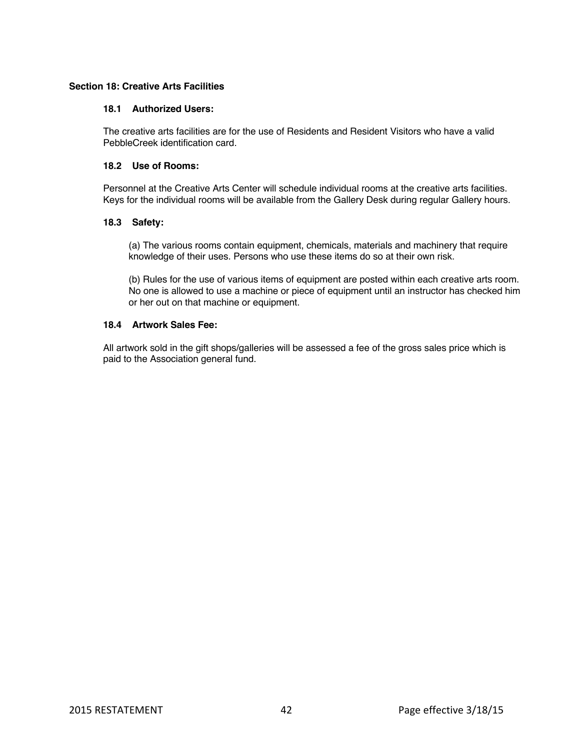## **Section 18: Creative Arts Facilities**

## **18.1 Authorized Users:**

The creative arts facilities are for the use of Residents and Resident Visitors who have a valid PebbleCreek identification card.

## **18.2 Use of Rooms:**

Personnel at the Creative Arts Center will schedule individual rooms at the creative arts facilities. Keys for the individual rooms will be available from the Gallery Desk during regular Gallery hours.

## **18.3 Safety:**

(a) The various rooms contain equipment, chemicals, materials and machinery that require knowledge of their uses. Persons who use these items do so at their own risk.

(b) Rules for the use of various items of equipment are posted within each creative arts room. No one is allowed to use a machine or piece of equipment until an instructor has checked him or her out on that machine or equipment.

## **18.4 Artwork Sales Fee:**

All artwork sold in the gift shops/galleries will be assessed a fee of the gross sales price which is paid to the Association general fund.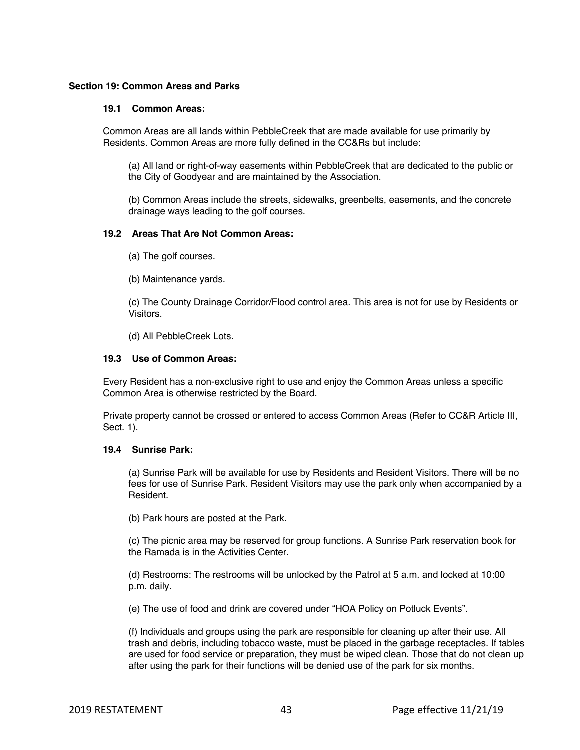#### **Section 19: Common Areas and Parks**

## **19.1 Common Areas:**

Common Areas are all lands within PebbleCreek that are made available for use primarily by Residents. Common Areas are more fully defined in the CC&Rs but include:

(a) All land or right-of-way easements within PebbleCreek that are dedicated to the public or the City of Goodyear and are maintained by the Association.

(b) Common Areas include the streets, sidewalks, greenbelts, easements, and the concrete drainage ways leading to the golf courses.

## **19.2 Areas That Are Not Common Areas:**

- (a) The golf courses.
- (b) Maintenance yards.

(c) The County Drainage Corridor/Flood control area. This area is not for use by Residents or Visitors.

(d) All PebbleCreek Lots.

#### **19.3 Use of Common Areas:**

Every Resident has a non-exclusive right to use and enjoy the Common Areas unless a specific Common Area is otherwise restricted by the Board.

Private property cannot be crossed or entered to access Common Areas (Refer to CC&R Article III, Sect. 1).

#### **19.4 Sunrise Park:**

(a) Sunrise Park will be available for use by Residents and Resident Visitors. There will be no fees for use of Sunrise Park. Resident Visitors may use the park only when accompanied by a Resident.

(b) Park hours are posted at the Park.

(c) The picnic area may be reserved for group functions. A Sunrise Park reservation book for the Ramada is in the Activities Center.

(d) Restrooms: The restrooms will be unlocked by the Patrol at 5 a.m. and locked at 10:00 p.m. daily.

(e) The use of food and drink are covered under "HOA Policy on Potluck Events".

(f) Individuals and groups using the park are responsible for cleaning up after their use. All trash and debris, including tobacco waste, must be placed in the garbage receptacles. If tables are used for food service or preparation, they must be wiped clean. Those that do not clean up after using the park for their functions will be denied use of the park for six months.